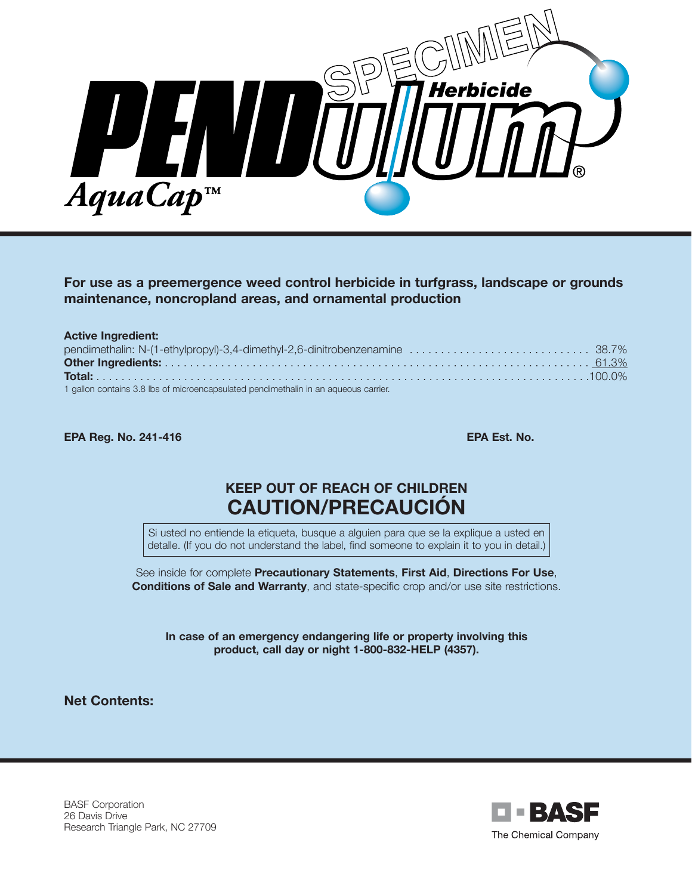

#### **For use as a preemergence weed control herbicide in turfgrass, landscape or grounds maintenance, noncropland areas, and ornamental production**

| <b>Active Ingredient:</b>                                                           |  |
|-------------------------------------------------------------------------------------|--|
|                                                                                     |  |
|                                                                                     |  |
|                                                                                     |  |
| 1 gallon contains 3.8 lbs of microencapsulated pendimethalin in an aqueous carrier. |  |

**EPA Reg. No. 241-416 EPA Est. No.**

# **KEEP OUT OF REACH OF CHILDREN CAUTION/PRECAUCIÓN**

Si usted no entiende la etiqueta, busque a alguien para que se la explique a usted en detalle. (If you do not understand the label, find someone to explain it to you in detail.)

See inside for complete **Precautionary Statements**, **First Aid**, **Directions For Use**, **Conditions of Sale and Warranty**, and state-specific crop and/or use site restrictions.

**In case of an emergency endangering life or property involving this product, call day or night 1-800-832-HELP (4357).**

**Net Contents:**

BASF Corporation 26 Davis Drive Research Triangle Park, NC 27709

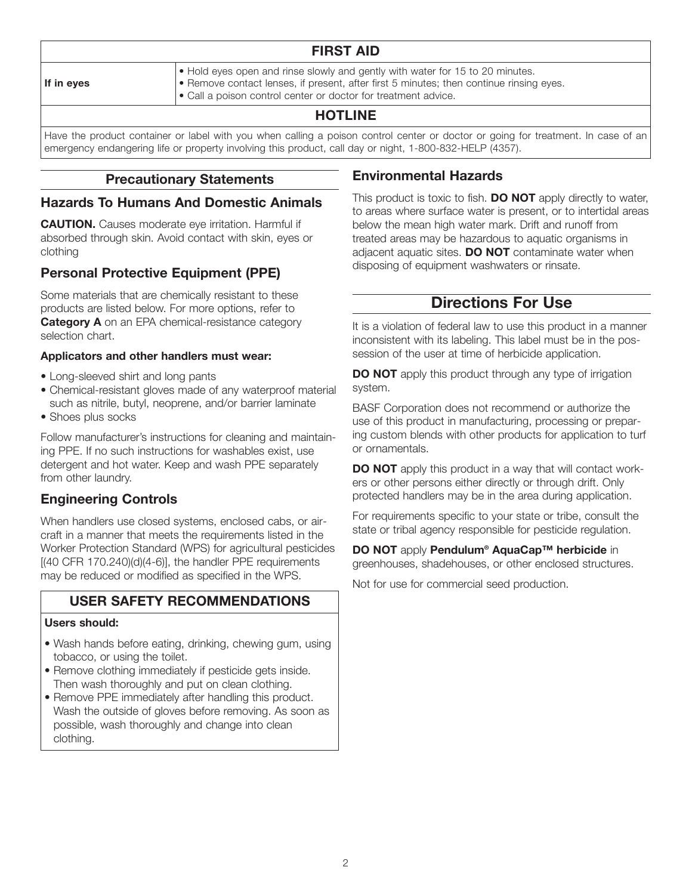#### **If in eyes**

**FIRST AID**

- Hold eyes open and rinse slowly and gently with water for 15 to 20 minutes.
- Remove contact lenses, if present, after first 5 minutes; then continue rinsing eyes.
- Call a poison control center or doctor for treatment advice.

## **HOTLINE**

Have the product container or label with you when calling a poison control center or doctor or going for treatment. In case of an emergency endangering life or property involving this product, call day or night, 1-800-832-HELP (4357).

#### **Precautionary Statements**

#### **Hazards To Humans And Domestic Animals**

**CAUTION.** Causes moderate eye irritation. Harmful if absorbed through skin. Avoid contact with skin, eyes or clothing

## **Personal Protective Equipment (PPE)**

Some materials that are chemically resistant to these products are listed below. For more options, refer to **Category A** on an EPA chemical-resistance category selection chart.

#### **Applicators and other handlers must wear:**

- Long-sleeved shirt and long pants
- Chemical-resistant gloves made of any waterproof material such as nitrile, butyl, neoprene, and/or barrier laminate
- Shoes plus socks

Follow manufacturer's instructions for cleaning and maintaining PPE. If no such instructions for washables exist, use detergent and hot water. Keep and wash PPE separately from other laundry.

## **Engineering Controls**

When handlers use closed systems, enclosed cabs, or aircraft in a manner that meets the requirements listed in the Worker Protection Standard (WPS) for agricultural pesticides [(40 CFR 170.240)(d)(4-6)], the handler PPE requirements may be reduced or modified as specified in the WPS.

## **USER SAFETY RECOMMENDATIONS**

#### **Users should:**

- Wash hands before eating, drinking, chewing gum, using tobacco, or using the toilet.
- Remove clothing immediately if pesticide gets inside. Then wash thoroughly and put on clean clothing.
- Remove PPE immediately after handling this product. Wash the outside of gloves before removing. As soon as possible, wash thoroughly and change into clean clothing.

## **Environmental Hazards**

This product is toxic to fish. **DO NOT** apply directly to water, to areas where surface water is present, or to intertidal areas below the mean high water mark. Drift and runoff from treated areas may be hazardous to aquatic organisms in adjacent aquatic sites. **DO NOT** contaminate water when disposing of equipment washwaters or rinsate.

# **Directions For Use**

It is a violation of federal law to use this product in a manner inconsistent with its labeling. This label must be in the possession of the user at time of herbicide application.

**DO NOT** apply this product through any type of irrigation system.

BASF Corporation does not recommend or authorize the use of this product in manufacturing, processing or preparing custom blends with other products for application to turf or ornamentals.

**DO NOT** apply this product in a way that will contact workers or other persons either directly or through drift. Only protected handlers may be in the area during application.

For requirements specific to your state or tribe, consult the state or tribal agency responsible for pesticide regulation.

**DO NOT** apply **Pendulum® AquaCap™ herbicide** in greenhouses, shadehouses, or other enclosed structures.

Not for use for commercial seed production.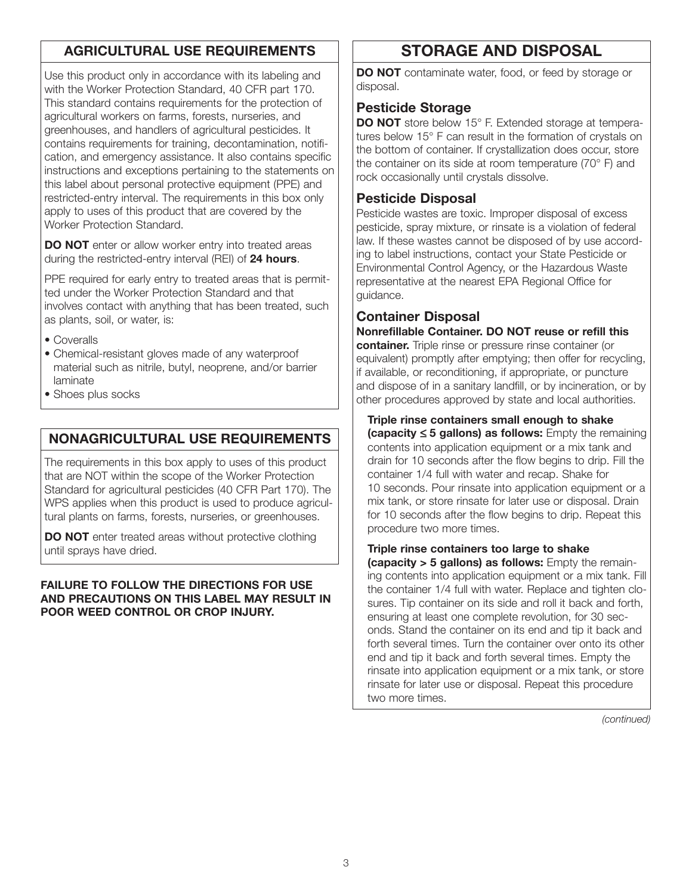## **AGRICULTURAL USE REQUIREMENTS**

Use this product only in accordance with its labeling and with the Worker Protection Standard, 40 CFR part 170. This standard contains requirements for the protection of agricultural workers on farms, forests, nurseries, and greenhouses, and handlers of agricultural pesticides. It contains requirements for training, decontamination, notification, and emergency assistance. It also contains specific instructions and exceptions pertaining to the statements on this label about personal protective equipment (PPE) and restricted-entry interval. The requirements in this box only apply to uses of this product that are covered by the Worker Protection Standard.

**DO NOT** enter or allow worker entry into treated areas during the restricted-entry interval (REI) of **24 hours**.

PPE required for early entry to treated areas that is permitted under the Worker Protection Standard and that involves contact with anything that has been treated, such as plants, soil, or water, is:

- Coveralls
- Chemical-resistant gloves made of any waterproof material such as nitrile, butyl, neoprene, and/or barrier laminate
- Shoes plus socks

## **NONAGRICULTURAL USE REQUIREMENTS**

The requirements in this box apply to uses of this product that are NOT within the scope of the Worker Protection Standard for agricultural pesticides (40 CFR Part 170). The WPS applies when this product is used to produce agricultural plants on farms, forests, nurseries, or greenhouses.

**DO NOT** enter treated areas without protective clothing until sprays have dried.

#### **FAILURE TO FOLLOW THE DIRECTIONS FOR USE AND PRECAUTIONS ON THIS LABEL MAY RESULT IN POOR WEED CONTROL OR CROP INJURY.**

# **STORAGE AND DISPOSAL**

**DO NOT** contaminate water, food, or feed by storage or disposal.

#### **Pesticide Storage**

**DO NOT** store below 15° F. Extended storage at temperatures below 15° F can result in the formation of crystals on the bottom of container. If crystallization does occur, store the container on its side at room temperature (70° F) and rock occasionally until crystals dissolve.

#### **Pesticide Disposal**

Pesticide wastes are toxic. Improper disposal of excess pesticide, spray mixture, or rinsate is a violation of federal law. If these wastes cannot be disposed of by use according to label instructions, contact your State Pesticide or Environmental Control Agency, or the Hazardous Waste representative at the nearest EPA Regional Office for guidance.

## **Container Disposal**

**Nonrefillable Container. DO NOT reuse or refill this container.** Triple rinse or pressure rinse container (or equivalent) promptly after emptying; then offer for recycling, if available, or reconditioning, if appropriate, or puncture and dispose of in a sanitary landfill, or by incineration, or by other procedures approved by state and local authorities.

**Triple rinse containers small enough to shake (capacity** ≤ **5 gallons) as follows:** Empty the remaining contents into application equipment or a mix tank and drain for 10 seconds after the flow begins to drip. Fill the container 1/4 full with water and recap. Shake for 10 seconds. Pour rinsate into application equipment or a mix tank, or store rinsate for later use or disposal. Drain for 10 seconds after the flow begins to drip. Repeat this procedure two more times.

**Triple rinse containers too large to shake (capacity > 5 gallons) as follows:** Empty the remaining contents into application equipment or a mix tank. Fill the container 1/4 full with water. Replace and tighten closures. Tip container on its side and roll it back and forth, ensuring at least one complete revolution, for 30 seconds. Stand the container on its end and tip it back and forth several times. Turn the container over onto its other end and tip it back and forth several times. Empty the rinsate into application equipment or a mix tank, or store rinsate for later use or disposal. Repeat this procedure two more times.

*(continued)*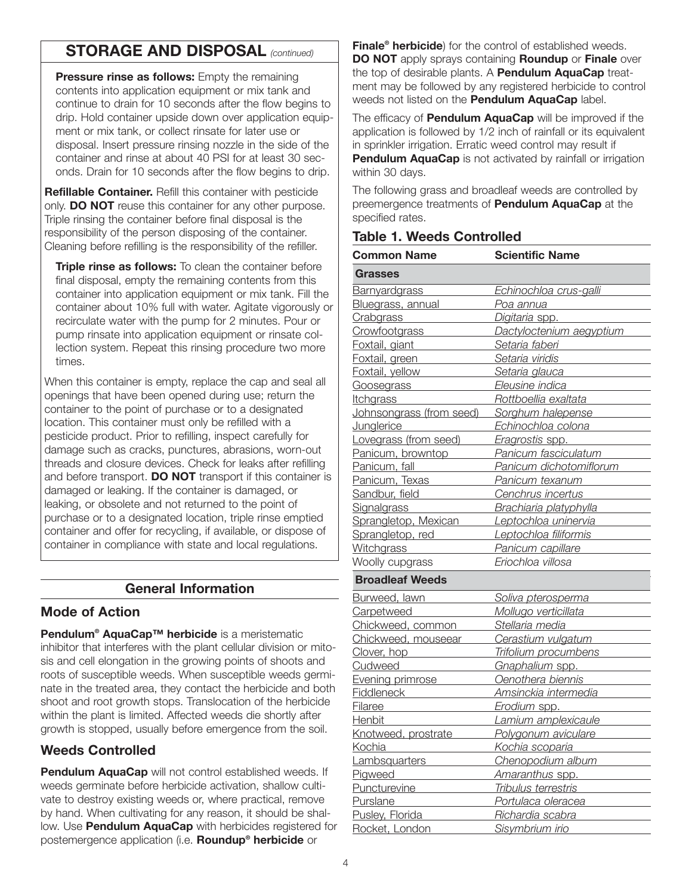# **STORAGE AND DISPOSAL** *(continued)*

**Pressure rinse as follows:** Empty the remaining contents into application equipment or mix tank and continue to drain for 10 seconds after the flow begins to drip. Hold container upside down over application equipment or mix tank, or collect rinsate for later use or disposal. Insert pressure rinsing nozzle in the side of the container and rinse at about 40 PSI for at least 30 seconds. Drain for 10 seconds after the flow begins to drip.

**Refillable Container.** Refill this container with pesticide only. **DO NOT** reuse this container for any other purpose. Triple rinsing the container before final disposal is the responsibility of the person disposing of the container. Cleaning before refilling is the responsibility of the refiller.

**Triple rinse as follows:** To clean the container before final disposal, empty the remaining contents from this container into application equipment or mix tank. Fill the container about 10% full with water. Agitate vigorously or recirculate water with the pump for 2 minutes. Pour or pump rinsate into application equipment or rinsate collection system. Repeat this rinsing procedure two more times.

When this container is empty, replace the cap and seal all openings that have been opened during use; return the container to the point of purchase or to a designated location. This container must only be refilled with a pesticide product. Prior to refilling, inspect carefully for damage such as cracks, punctures, abrasions, worn-out threads and closure devices. Check for leaks after refilling and before transport. **DO NOT** transport if this container is damaged or leaking. If the container is damaged, or leaking, or obsolete and not returned to the point of purchase or to a designated location, triple rinse emptied container and offer for recycling, if available, or dispose of container in compliance with state and local regulations.

#### **General Information**

#### **Mode of Action**

**Pendulum® AquaCap™ herbicide** is a meristematic inhibitor that interferes with the plant cellular division or mitosis and cell elongation in the growing points of shoots and roots of susceptible weeds. When susceptible weeds germinate in the treated area, they contact the herbicide and both shoot and root growth stops. Translocation of the herbicide within the plant is limited. Affected weeds die shortly after growth is stopped, usually before emergence from the soil.

## **Weeds Controlled**

**Pendulum AquaCap** will not control established weeds. If weeds germinate before herbicide activation, shallow cultivate to destroy existing weeds or, where practical, remove by hand. When cultivating for any reason, it should be shallow. Use **Pendulum AquaCap** with herbicides registered for postemergence application (i.e. **Roundup® herbicide** or

**Finale® herbicide**) for the control of established weeds. **DO NOT** apply sprays containing **Roundup** or **Finale** over the top of desirable plants. A **Pendulum AquaCap** treatment may be followed by any registered herbicide to control weeds not listed on the **Pendulum AquaCap** label.

The efficacy of **Pendulum AquaCap** will be improved if the application is followed by 1/2 inch of rainfall or its equivalent in sprinkler irrigation. Erratic weed control may result if **Pendulum AquaCap** is not activated by rainfall or irrigation within 30 days.

The following grass and broadleaf weeds are controlled by preemergence treatments of **Pendulum AquaCap** at the specified rates.

#### **Table 1. Weeds Controlled**

| <b>Common Name</b>       | <b>Scientific Name</b>    |
|--------------------------|---------------------------|
| <b>Grasses</b>           |                           |
| <b>Barnyardgrass</b>     | Echinochloa crus-galli    |
| Bluegrass, annual        | <u>Poa annua</u>          |
| Crabgrass                | Digitaria spp.            |
| Crowfootgrass            | Dactyloctenium aegyptium  |
| Foxtail, giant           | Setaria faberi            |
| Foxtail, green           | Setaria viridis           |
| Foxtail, yellow          | Setaria glauca            |
| Goosegrass               | Eleusine indica           |
| <u>Itchgrass</u>         | Rottboellia exaltata      |
| Johnsongrass (from seed) | Sorghum halepense         |
| <b>Junglerice</b>        | <u>Echinochloa colona</u> |
| Lovegrass (from seed)    | Eragrostis spp.           |
| Panicum, browntop        | Panicum fasciculatum      |
| Panicum, fall            | Panicum dichotomiflorum   |
| Panicum, Texas           | Panicum texanum           |
| Sandbur, field           | Cenchrus incertus         |
| <b>Signalgrass</b>       | Brachiaria platyphylla    |
| Sprangletop, Mexican     | Leptochloa uninervia      |
| Sprangletop, red         | Leptochloa filiformis     |
| Witchgrass               | Panicum capillare         |
| Woolly cupgrass          | Eriochloa villosa         |
| <b>Broadleaf Weeds</b>   |                           |
| Burweed, lawn            | Soliva pterosperma        |
| Carpetweed               | Mollugo verticillata      |
| Chickweed, common        | Stellaria media           |
| Chickweed, mouseear      | Cerastium vulgatum        |
| Clover, hop              | Trifolium procumbens      |
| Cudweed                  | Gnaphalium spp.           |
| Evening primrose         | Oenothera biennis         |
| <b>Fiddleneck</b>        | Amsinckia intermedia      |
| Filaree                  | Erodium spp.              |
| Henbit                   | Lamium amplexicaule       |
| Knotweed, prostrate      | Polygonum aviculare       |
| Kochia                   | Kochia scoparia           |
| Lambsquarters            | Chenopodium album         |
| Pigweed                  | Amaranthus spp.           |
| Puncturevine             | Tribulus terrestris       |
| Purslane                 | Portulaca oleracea        |
| Pusley, Florida          | Richardia scabra          |
| Rocket, London           | Sisymbrium irio           |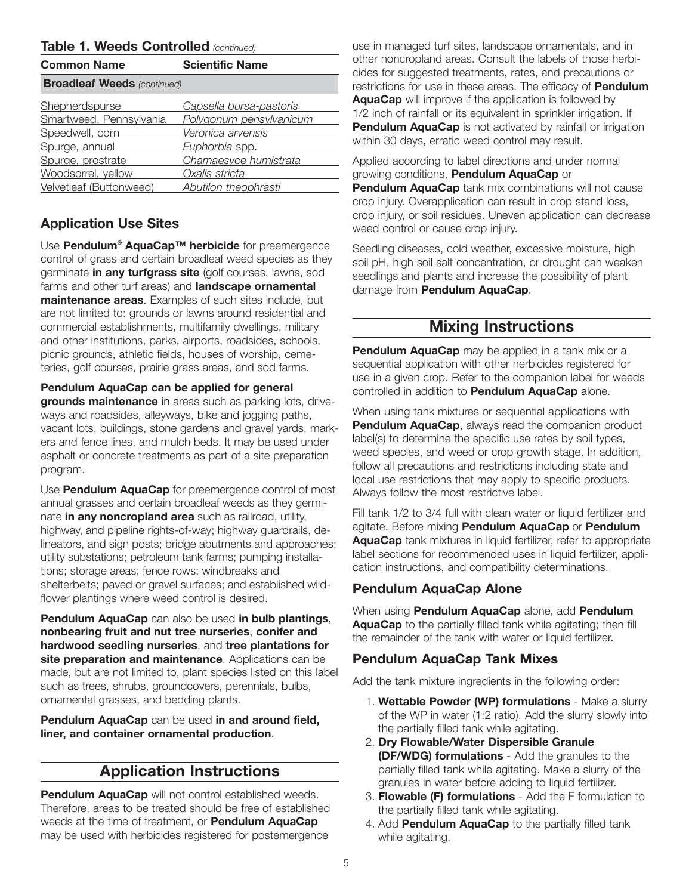#### **Table 1. Weeds Controlled** *(continued)*

| <b>Common Name</b>                 | <b>Scientific Name</b>  |
|------------------------------------|-------------------------|
| <b>Broadleaf Weeds (continued)</b> |                         |
| Shepherdspurse                     | Capsella bursa-pastoris |
| Smartweed, Pennsylvania            | Polygonum pensylvanicum |
| Speedwell, corn                    | Veronica arvensis       |
| Spurge, annual                     | Euphorbia spp.          |
| Spurge, prostrate                  | Chamaesyce humistrata   |
| Woodsorrel, yellow                 | Oxalis stricta          |
| Velvetleaf (Buttonweed)            | Abutilon theophrasti    |

## **Application Use Sites**

Use **Pendulum® AquaCap™ herbicide** for preemergence control of grass and certain broadleaf weed species as they germinate **in any turfgrass site** (golf courses, lawns, sod farms and other turf areas) and **landscape ornamental maintenance areas**. Examples of such sites include, but are not limited to: grounds or lawns around residential and commercial establishments, multifamily dwellings, military and other institutions, parks, airports, roadsides, schools, picnic grounds, athletic fields, houses of worship, cemeteries, golf courses, prairie grass areas, and sod farms.

#### **Pendulum AquaCap can be applied for general**

**grounds maintenance** in areas such as parking lots, driveways and roadsides, alleyways, bike and jogging paths, vacant lots, buildings, stone gardens and gravel yards, markers and fence lines, and mulch beds. It may be used under asphalt or concrete treatments as part of a site preparation program.

Use **Pendulum AquaCap** for preemergence control of most annual grasses and certain broadleaf weeds as they germinate **in any noncropland area** such as railroad, utility, highway, and pipeline rights-of-way; highway guardrails, delineators, and sign posts; bridge abutments and approaches; utility substations; petroleum tank farms; pumping installations; storage areas; fence rows; windbreaks and shelterbelts; paved or gravel surfaces; and established wildflower plantings where weed control is desired.

**Pendulum AquaCap** can also be used **in bulb plantings**, **nonbearing fruit and nut tree nurseries**, **conifer and hardwood seedling nurseries**, and **tree plantations for site preparation and maintenance**. Applications can be made, but are not limited to, plant species listed on this label such as trees, shrubs, groundcovers, perennials, bulbs, ornamental grasses, and bedding plants.

**Pendulum AquaCap** can be used **in and around field, liner, and container ornamental production**.

## **Application Instructions**

**Pendulum AquaCap** will not control established weeds. Therefore, areas to be treated should be free of established weeds at the time of treatment, or **Pendulum AquaCap** may be used with herbicides registered for postemergence

use in managed turf sites, landscape ornamentals, and in other noncropland areas. Consult the labels of those herbicides for suggested treatments, rates, and precautions or restrictions for use in these areas. The efficacy of **Pendulum AquaCap** will improve if the application is followed by 1/2 inch of rainfall or its equivalent in sprinkler irrigation. If **Pendulum AquaCap** is not activated by rainfall or irrigation within 30 days, erratic weed control may result.

Applied according to label directions and under normal growing conditions, **Pendulum AquaCap** or **Pendulum AquaCap** tank mix combinations will not cause crop injury. Overapplication can result in crop stand loss,

crop injury, or soil residues. Uneven application can decrease weed control or cause crop injury.

Seedling diseases, cold weather, excessive moisture, high soil pH, high soil salt concentration, or drought can weaken seedlings and plants and increase the possibility of plant damage from **Pendulum AquaCap**.

## **Mixing Instructions**

**Pendulum AquaCap** may be applied in a tank mix or a sequential application with other herbicides registered for use in a given crop. Refer to the companion label for weeds controlled in addition to **Pendulum AquaCap** alone.

When using tank mixtures or sequential applications with **Pendulum AquaCap**, always read the companion product label(s) to determine the specific use rates by soil types, weed species, and weed or crop growth stage. In addition, follow all precautions and restrictions including state and local use restrictions that may apply to specific products. Always follow the most restrictive label.

Fill tank 1/2 to 3/4 full with clean water or liquid fertilizer and agitate. Before mixing **Pendulum AquaCap** or **Pendulum AquaCap** tank mixtures in liquid fertilizer, refer to appropriate label sections for recommended uses in liquid fertilizer, application instructions, and compatibility determinations.

## **Pendulum AquaCap Alone**

When using **Pendulum AquaCap** alone, add **Pendulum AquaCap** to the partially filled tank while agitating; then fill the remainder of the tank with water or liquid fertilizer.

## **Pendulum AquaCap Tank Mixes**

Add the tank mixture ingredients in the following order:

- 1. **Wettable Powder (WP) formulations** Make a slurry of the WP in water (1:2 ratio). Add the slurry slowly into the partially filled tank while agitating.
- 2. **Dry Flowable/Water Dispersible Granule (DF/WDG) formulations** - Add the granules to the partially filled tank while agitating. Make a slurry of the granules in water before adding to liquid fertilizer.
- 3. **Flowable (F) formulations** Add the F formulation to the partially filled tank while agitating.
- 4. Add **Pendulum AquaCap** to the partially filled tank while agitating.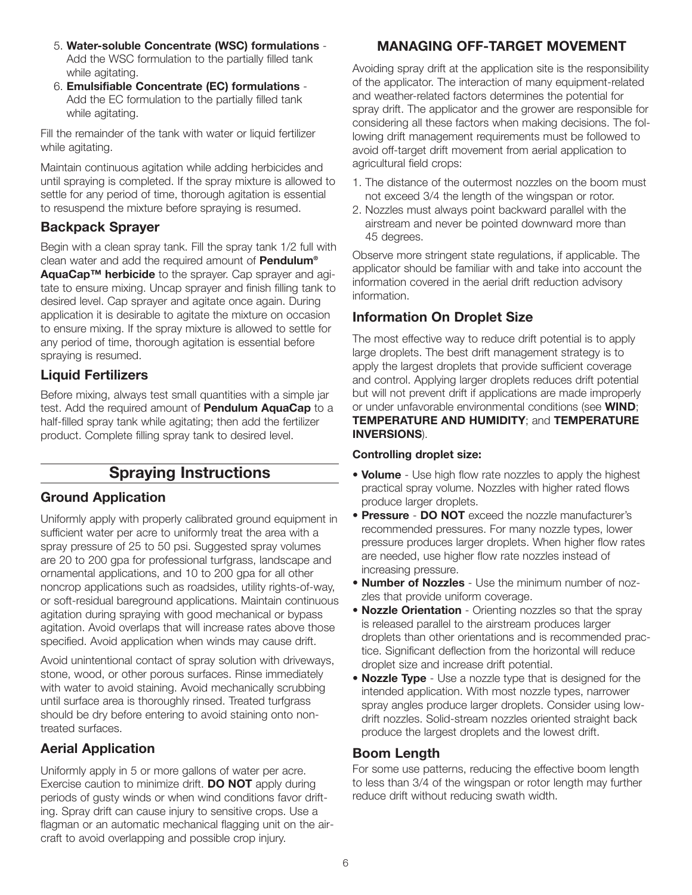- 5. **Water-soluble Concentrate (WSC) formulations** Add the WSC formulation to the partially filled tank while agitating.
- 6. **Emulsifiable Concentrate (EC) formulations** Add the EC formulation to the partially filled tank while agitating.

Fill the remainder of the tank with water or liquid fertilizer while agitating.

Maintain continuous agitation while adding herbicides and until spraying is completed. If the spray mixture is allowed to settle for any period of time, thorough agitation is essential to resuspend the mixture before spraying is resumed.

### **Backpack Sprayer**

Begin with a clean spray tank. Fill the spray tank 1/2 full with clean water and add the required amount of **Pendulum® AquaCap™ herbicide** to the sprayer. Cap sprayer and agitate to ensure mixing. Uncap sprayer and finish filling tank to desired level. Cap sprayer and agitate once again. During application it is desirable to agitate the mixture on occasion to ensure mixing. If the spray mixture is allowed to settle for any period of time, thorough agitation is essential before spraying is resumed.

## **Liquid Fertilizers**

Before mixing, always test small quantities with a simple jar test. Add the required amount of **Pendulum AquaCap** to a half-filled spray tank while agitating; then add the fertilizer product. Complete filling spray tank to desired level.

## **Spraying Instructions**

## **Ground Application**

Uniformly apply with properly calibrated ground equipment in sufficient water per acre to uniformly treat the area with a spray pressure of 25 to 50 psi. Suggested spray volumes are 20 to 200 gpa for professional turfgrass, landscape and ornamental applications, and 10 to 200 gpa for all other noncrop applications such as roadsides, utility rights-of-way, or soft-residual bareground applications. Maintain continuous agitation during spraying with good mechanical or bypass agitation. Avoid overlaps that will increase rates above those specified. Avoid application when winds may cause drift.

Avoid unintentional contact of spray solution with driveways, stone, wood, or other porous surfaces. Rinse immediately with water to avoid staining. Avoid mechanically scrubbing until surface area is thoroughly rinsed. Treated turfgrass should be dry before entering to avoid staining onto nontreated surfaces.

## **Aerial Application**

Uniformly apply in 5 or more gallons of water per acre. Exercise caution to minimize drift. **DO NOT** apply during periods of gusty winds or when wind conditions favor drifting. Spray drift can cause injury to sensitive crops. Use a flagman or an automatic mechanical flagging unit on the aircraft to avoid overlapping and possible crop injury.

## **MANAGING OFF-TARGET MOVEMENT**

Avoiding spray drift at the application site is the responsibility of the applicator. The interaction of many equipment-related and weather-related factors determines the potential for spray drift. The applicator and the grower are responsible for considering all these factors when making decisions. The following drift management requirements must be followed to avoid off-target drift movement from aerial application to agricultural field crops:

- 1. The distance of the outermost nozzles on the boom must not exceed 3/4 the length of the wingspan or rotor.
- 2. Nozzles must always point backward parallel with the airstream and never be pointed downward more than 45 degrees.

Observe more stringent state regulations, if applicable. The applicator should be familiar with and take into account the information covered in the aerial drift reduction advisory information.

### **Information On Droplet Size**

The most effective way to reduce drift potential is to apply large droplets. The best drift management strategy is to apply the largest droplets that provide sufficient coverage and control. Applying larger droplets reduces drift potential but will not prevent drift if applications are made improperly or under unfavorable environmental conditions (see **WIND**; **TEMPERATURE AND HUMIDITY**; and **TEMPERATURE INVERSIONS**).

#### **Controlling droplet size:**

- **Volume** Use high flow rate nozzles to apply the highest practical spray volume. Nozzles with higher rated flows produce larger droplets.
- **Pressure DO NOT** exceed the nozzle manufacturer's recommended pressures. For many nozzle types, lower pressure produces larger droplets. When higher flow rates are needed, use higher flow rate nozzles instead of increasing pressure.
- **Number of Nozzles** Use the minimum number of nozzles that provide uniform coverage.
- **Nozzle Orientation** Orienting nozzles so that the spray is released parallel to the airstream produces larger droplets than other orientations and is recommended practice. Significant deflection from the horizontal will reduce droplet size and increase drift potential.
- **Nozzle Type** Use a nozzle type that is designed for the intended application. With most nozzle types, narrower spray angles produce larger droplets. Consider using lowdrift nozzles. Solid-stream nozzles oriented straight back produce the largest droplets and the lowest drift.

## **Boom Length**

For some use patterns, reducing the effective boom length to less than 3/4 of the wingspan or rotor length may further reduce drift without reducing swath width.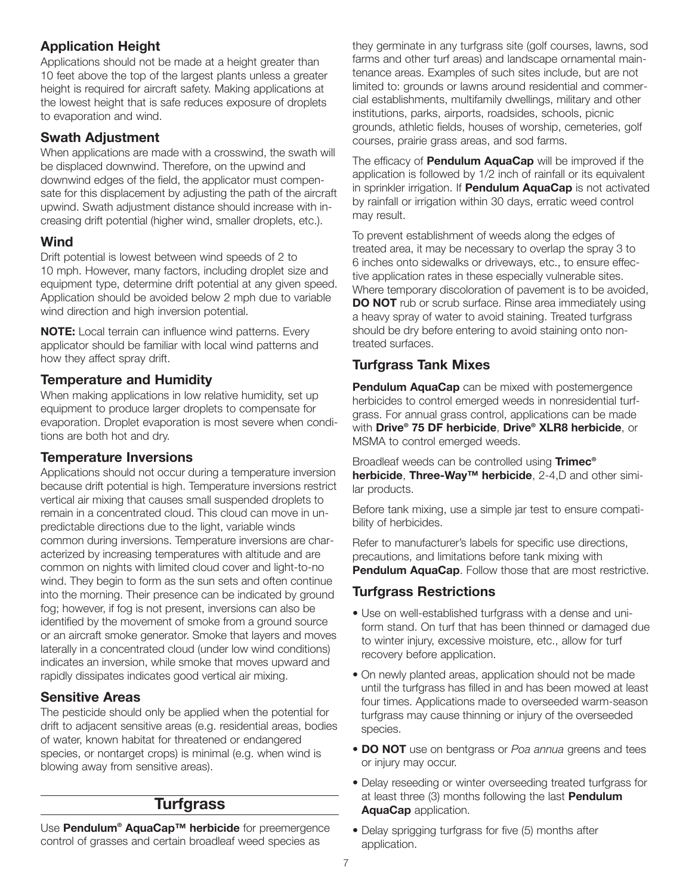## **Application Height**

Applications should not be made at a height greater than 10 feet above the top of the largest plants unless a greater height is required for aircraft safety. Making applications at the lowest height that is safe reduces exposure of droplets to evaporation and wind.

## **Swath Adjustment**

When applications are made with a crosswind, the swath will be displaced downwind. Therefore, on the upwind and downwind edges of the field, the applicator must compensate for this displacement by adjusting the path of the aircraft upwind. Swath adjustment distance should increase with increasing drift potential (higher wind, smaller droplets, etc.).

## **Wind**

Drift potential is lowest between wind speeds of 2 to 10 mph. However, many factors, including droplet size and equipment type, determine drift potential at any given speed. Application should be avoided below 2 mph due to variable wind direction and high inversion potential.

**NOTE:** Local terrain can influence wind patterns. Every applicator should be familiar with local wind patterns and how they affect spray drift.

## **Temperature and Humidity**

When making applications in low relative humidity, set up equipment to produce larger droplets to compensate for evaporation. Droplet evaporation is most severe when conditions are both hot and dry.

## **Temperature Inversions**

Applications should not occur during a temperature inversion because drift potential is high. Temperature inversions restrict vertical air mixing that causes small suspended droplets to remain in a concentrated cloud. This cloud can move in unpredictable directions due to the light, variable winds common during inversions. Temperature inversions are characterized by increasing temperatures with altitude and are common on nights with limited cloud cover and light-to-no wind. They begin to form as the sun sets and often continue into the morning. Their presence can be indicated by ground fog; however, if fog is not present, inversions can also be identified by the movement of smoke from a ground source or an aircraft smoke generator. Smoke that layers and moves laterally in a concentrated cloud (under low wind conditions) indicates an inversion, while smoke that moves upward and rapidly dissipates indicates good vertical air mixing.

## **Sensitive Areas**

The pesticide should only be applied when the potential for drift to adjacent sensitive areas (e.g. residential areas, bodies of water, known habitat for threatened or endangered species, or nontarget crops) is minimal (e.g. when wind is blowing away from sensitive areas).

## **Turfgrass**

Use **Pendulum® AquaCap™ herbicide** for preemergence control of grasses and certain broadleaf weed species as

they germinate in any turfgrass site (golf courses, lawns, sod farms and other turf areas) and landscape ornamental maintenance areas. Examples of such sites include, but are not limited to: grounds or lawns around residential and commercial establishments, multifamily dwellings, military and other institutions, parks, airports, roadsides, schools, picnic grounds, athletic fields, houses of worship, cemeteries, golf courses, prairie grass areas, and sod farms.

The efficacy of **Pendulum AquaCap** will be improved if the application is followed by 1/2 inch of rainfall or its equivalent in sprinkler irrigation. If **Pendulum AquaCap** is not activated by rainfall or irrigation within 30 days, erratic weed control may result.

To prevent establishment of weeds along the edges of treated area, it may be necessary to overlap the spray 3 to 6 inches onto sidewalks or driveways, etc., to ensure effective application rates in these especially vulnerable sites. Where temporary discoloration of pavement is to be avoided, **DO NOT** rub or scrub surface. Rinse area immediately using a heavy spray of water to avoid staining. Treated turfgrass should be dry before entering to avoid staining onto nontreated surfaces.

## **Turfgrass Tank Mixes**

**Pendulum AquaCap** can be mixed with postemergence herbicides to control emerged weeds in nonresidential turfgrass. For annual grass control, applications can be made with **Drive® 75 DF herbicide**, **Drive® XLR8 herbicide**, or MSMA to control emerged weeds.

Broadleaf weeds can be controlled using **Trimec® herbicide**, **Three-Way™ herbicide**, 2-4,D and other similar products.

Before tank mixing, use a simple jar test to ensure compatibility of herbicides.

Refer to manufacturer's labels for specific use directions, precautions, and limitations before tank mixing with **Pendulum AquaCap.** Follow those that are most restrictive.

## **Turfgrass Restrictions**

- Use on well-established turfgrass with a dense and uniform stand. On turf that has been thinned or damaged due to winter injury, excessive moisture, etc., allow for turf recovery before application.
- On newly planted areas, application should not be made until the turfgrass has filled in and has been mowed at least four times. Applications made to overseeded warm-season turfgrass may cause thinning or injury of the overseeded species.
- **DO NOT** use on bentgrass or *Poa annua* greens and tees or injury may occur.
- Delay reseeding or winter overseeding treated turfgrass for at least three (3) months following the last **Pendulum AquaCap** application.
- Delay sprigging turfgrass for five (5) months after application.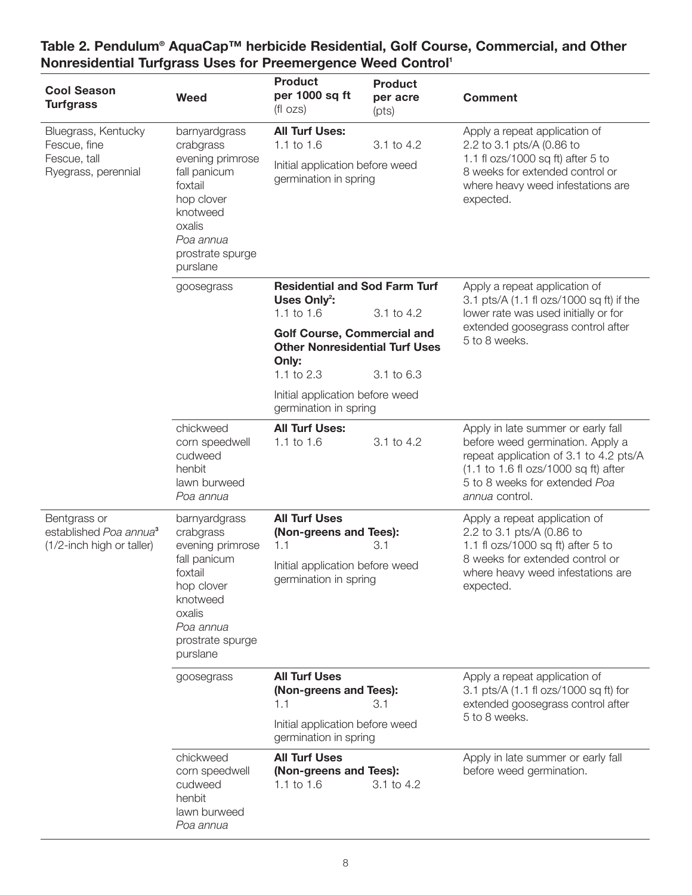| <b>Cool Season</b><br><b>Turfgrass</b>                                          | <b>Weed</b>                                                                                                                  | <b>Product</b><br>per 1000 sq ft<br>$(fl \ ozs)$                                                | <b>Product</b><br>per acre<br>(pts) | <b>Comment</b>                                                                                                                                                                                                                                 |
|---------------------------------------------------------------------------------|------------------------------------------------------------------------------------------------------------------------------|-------------------------------------------------------------------------------------------------|-------------------------------------|------------------------------------------------------------------------------------------------------------------------------------------------------------------------------------------------------------------------------------------------|
| Bluegrass, Kentucky<br>Fescue, fine<br>Fescue, tall<br>Ryegrass, perennial      | barnyardgrass<br>crabgrass                                                                                                   | <b>All Turf Uses:</b><br>1.1 to $1.6$                                                           | 3.1 to 4.2                          | Apply a repeat application of<br>2.2 to 3.1 pts/A (0.86 to                                                                                                                                                                                     |
|                                                                                 | evening primrose<br>fall panicum<br>foxtail<br>hop clover<br>knotweed<br>oxalis<br>Poa annua<br>prostrate spurge<br>purslane | Initial application before weed<br>germination in spring                                        |                                     | 1.1 fl $ozs/1000$ sq ft) after 5 to<br>8 weeks for extended control or<br>where heavy weed infestations are<br>expected.                                                                                                                       |
|                                                                                 | goosegrass                                                                                                                   | <b>Residential and Sod Farm Turf</b><br>Uses Only <sup>2</sup> :                                |                                     | Apply a repeat application of<br>3.1 pts/A (1.1 fl ozs/1000 sq ft) if the                                                                                                                                                                      |
|                                                                                 |                                                                                                                              | 1.1 to $1.6$                                                                                    | 3.1 to 4.2                          | lower rate was used initially or for                                                                                                                                                                                                           |
|                                                                                 |                                                                                                                              | <b>Golf Course, Commercial and</b><br><b>Other Nonresidential Turf Uses</b><br>Only:            |                                     | extended goosegrass control after<br>5 to 8 weeks.                                                                                                                                                                                             |
|                                                                                 |                                                                                                                              | 1.1 to 2.3                                                                                      | 3.1 to 6.3                          |                                                                                                                                                                                                                                                |
|                                                                                 |                                                                                                                              | Initial application before weed<br>germination in spring                                        |                                     |                                                                                                                                                                                                                                                |
|                                                                                 | chickweed<br>corn speedwell<br>cudweed<br>henbit<br>lawn burweed<br>Poa annua                                                | <b>All Turf Uses:</b><br>1.1 to $1.6$                                                           | 3.1 to 4.2                          | Apply in late summer or early fall<br>before weed germination. Apply a<br>repeat application of 3.1 to 4.2 pts/A<br>$(1.1 \text{ to } 1.6 \text{ ft} \text{ ozs}/1000 \text{ sq ft})$ after<br>5 to 8 weeks for extended Poa<br>annua control. |
| Bentgrass or<br>established Poa annua <sup>3</sup><br>(1/2-inch high or taller) | barnyardgrass<br>crabgrass<br>evening primrose<br>fall panicum<br>foxtail                                                    | <b>All Turf Uses</b><br>(Non-greens and Tees):<br>3.1<br>1.1<br>Initial application before weed |                                     | Apply a repeat application of<br>2.2 to 3.1 pts/A (0.86 to<br>1.1 fl ozs/1000 sq ft) after 5 to<br>8 weeks for extended control or<br>where heavy weed infestations are                                                                        |
|                                                                                 | hop clover<br>knotweed<br>oxalis<br>Poa annua<br>prostrate spurge<br>purslane                                                | germination in spring                                                                           |                                     | expected.                                                                                                                                                                                                                                      |
|                                                                                 | goosegrass                                                                                                                   | <b>All Turf Uses</b><br>(Non-greens and Tees):<br>1.1<br>3.1                                    |                                     | Apply a repeat application of<br>3.1 pts/A (1.1 fl ozs/1000 sq ft) for<br>extended goosegrass control after<br>5 to 8 weeks.                                                                                                                   |
|                                                                                 |                                                                                                                              | Initial application before weed<br>germination in spring                                        |                                     |                                                                                                                                                                                                                                                |
|                                                                                 | chickweed<br>corn speedwell<br>cudweed<br>henbit<br>lawn burweed<br>Poa annua                                                | <b>All Turf Uses</b><br>(Non-greens and Tees):<br>1.1 to 1.6                                    | 3.1 to 4.2                          | Apply in late summer or early fall<br>before weed germination.                                                                                                                                                                                 |

#### **Table 2. Pendulum® AquaCap™ herbicide Residential, Golf Course, Commercial, and Other Nonresidential Turfgrass Uses for Preemergence Weed Control<sup>1</sup>**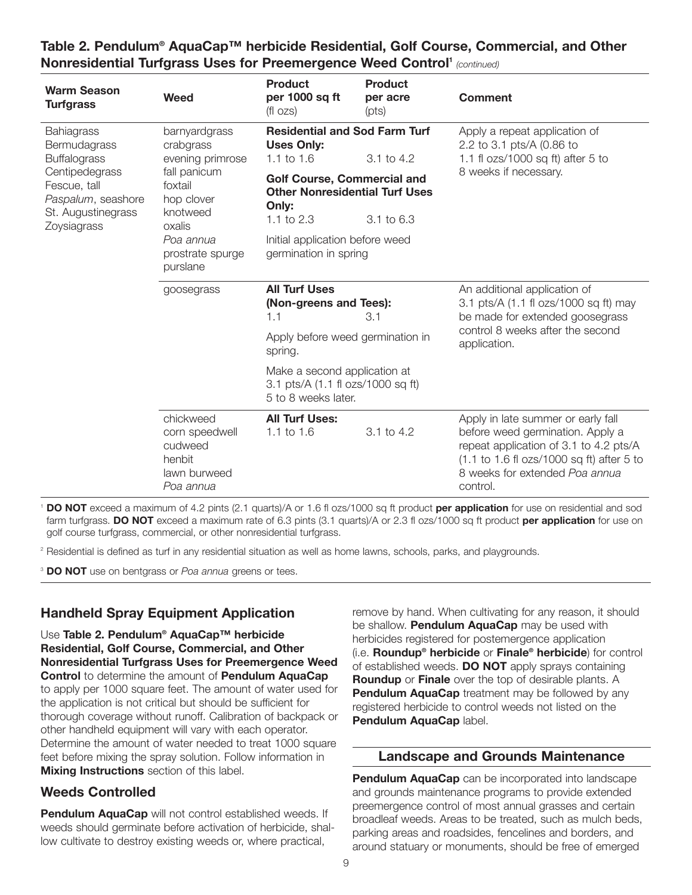| <b>Warm Season</b><br><b>Turfgrass</b>                                                                                                                                                                                                                                                                                     | Weed                                                                          | <b>Product</b><br>per 1000 sq ft<br>$(f _{OZS})$                                                     | <b>Product</b><br>per acre<br>(pts) | <b>Comment</b>                                                                                                                                                                                                                                 |
|----------------------------------------------------------------------------------------------------------------------------------------------------------------------------------------------------------------------------------------------------------------------------------------------------------------------------|-------------------------------------------------------------------------------|------------------------------------------------------------------------------------------------------|-------------------------------------|------------------------------------------------------------------------------------------------------------------------------------------------------------------------------------------------------------------------------------------------|
| Bahiagrass<br>barnyardgrass<br>Bermudagrass<br>crabgrass<br><b>Buffalograss</b><br>evening primrose<br>Centipedegrass<br>fall panicum<br>Fescue, tall<br>foxtail<br>Paspalum, seashore<br>hop clover<br>St. Augustinegrass<br>knotweed<br>Zoysiagrass<br>oxalis<br>Poa annua<br>prostrate spurge<br>purslane<br>goosegrass |                                                                               | <b>Residential and Sod Farm Turf</b><br><b>Uses Only:</b><br>1.1 to $1.6$                            | $3.1 \text{ to } 4.2$               | Apply a repeat application of<br>2.2 to 3.1 pts/A (0.86 to<br>1.1 fl $ozs/1000$ sq ft) after 5 to                                                                                                                                              |
|                                                                                                                                                                                                                                                                                                                            |                                                                               | <b>Golf Course, Commercial and</b><br><b>Other Nonresidential Turf Uses</b><br>Only:<br>1.1 to $2.3$ | 3.1 to 6.3                          | 8 weeks if necessary.                                                                                                                                                                                                                          |
|                                                                                                                                                                                                                                                                                                                            | Initial application before weed<br>germination in spring                      |                                                                                                      |                                     |                                                                                                                                                                                                                                                |
|                                                                                                                                                                                                                                                                                                                            |                                                                               | <b>All Turf Uses</b><br>(Non-greens and Tees):<br>1.1                                                | 3.1                                 | An additional application of<br>3.1 pts/A (1.1 fl ozs/1000 sq ft) may<br>be made for extended goosegrass                                                                                                                                       |
|                                                                                                                                                                                                                                                                                                                            |                                                                               | Apply before weed germination in<br>spring.                                                          |                                     | control 8 weeks after the second<br>application.                                                                                                                                                                                               |
|                                                                                                                                                                                                                                                                                                                            |                                                                               | Make a second application at<br>3.1 pts/A (1.1 fl ozs/1000 sq ft)<br>5 to 8 weeks later.             |                                     |                                                                                                                                                                                                                                                |
|                                                                                                                                                                                                                                                                                                                            | chickweed<br>corn speedwell<br>cudweed<br>henbit<br>lawn burweed<br>Poa annua | <b>All Turf Uses:</b><br>1.1 to $1.6$                                                                | 3.1 to 4.2                          | Apply in late summer or early fall<br>before weed germination. Apply a<br>repeat application of 3.1 to 4.2 pts/A<br>$(1.1 \text{ to } 1.6 \text{ ft} \text{ ozs}/1000 \text{ sq ft})$ after 5 to<br>8 weeks for extended Poa annua<br>control. |

#### **Table 2. Pendulum® AquaCap™ herbicide Residential, Golf Course, Commercial, and Other Nonresidential Turfgrass Uses for Preemergence Weed Control<sup>1</sup> (continued)**

<sup>1</sup> **DO NOT** exceed a maximum of 4.2 pints (2.1 quarts)/A or 1.6 fl ozs/1000 sq ft product **per application** for use on residential and sod farm turfgrass. **DO NOT** exceed a maximum rate of 6.3 pints (3.1 quarts)/A or 2.3 fl ozs/1000 sq ft product **per application** for use on golf course turfgrass, commercial, or other nonresidential turfgrass.

<sup>2</sup> Residential is defined as turf in any residential situation as well as home lawns, schools, parks, and playgrounds.

<sup>3</sup> **DO NOT** use on bentgrass or *Poa annua* greens or tees.

## **Handheld Spray Equipment Application**

Use **Table 2. Pendulum® AquaCap™ herbicide Residential, Golf Course, Commercial, and Other Nonresidential Turfgrass Uses for Preemergence Weed Control** to determine the amount of **Pendulum AquaCap** to apply per 1000 square feet. The amount of water used for the application is not critical but should be sufficient for thorough coverage without runoff. Calibration of backpack or other handheld equipment will vary with each operator. Determine the amount of water needed to treat 1000 square feet before mixing the spray solution. Follow information in **Mixing Instructions** section of this label.

#### **Weeds Controlled**

**Pendulum AquaCap** will not control established weeds. If weeds should germinate before activation of herbicide, shallow cultivate to destroy existing weeds or, where practical,

remove by hand. When cultivating for any reason, it should be shallow. **Pendulum AquaCap** may be used with herbicides registered for postemergence application (i.e. **Roundup® herbicide** or **Finale® herbicide**) for control of established weeds. **DO NOT** apply sprays containing **Roundup** or **Finale** over the top of desirable plants. A **Pendulum AquaCap** treatment may be followed by any registered herbicide to control weeds not listed on the **Pendulum AquaCap** label.

#### **Landscape and Grounds Maintenance**

**Pendulum AquaCap** can be incorporated into landscape and grounds maintenance programs to provide extended preemergence control of most annual grasses and certain broadleaf weeds. Areas to be treated, such as mulch beds, parking areas and roadsides, fencelines and borders, and around statuary or monuments, should be free of emerged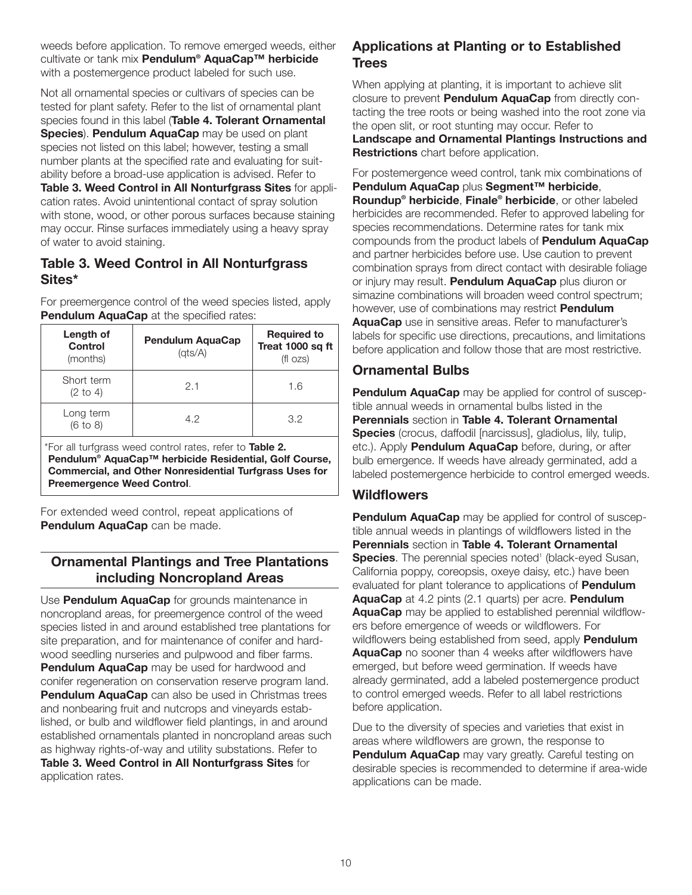weeds before application. To remove emerged weeds, either cultivate or tank mix **Pendulum® AquaCap™ herbicide** with a postemergence product labeled for such use.

Not all ornamental species or cultivars of species can be tested for plant safety. Refer to the list of ornamental plant species found in this label (**Table 4. Tolerant Ornamental Species**). **Pendulum AquaCap** may be used on plant species not listed on this label; however, testing a small number plants at the specified rate and evaluating for suitability before a broad-use application is advised. Refer to **Table 3. Weed Control in All Nonturfgrass Sites** for application rates. Avoid unintentional contact of spray solution with stone, wood, or other porous surfaces because staining may occur. Rinse surfaces immediately using a heavy spray of water to avoid staining.

#### **Table 3. Weed Control in All Nonturfgrass Sites\***

For preemergence control of the weed species listed, apply **Pendulum AquaCap** at the specified rates:

| Length of<br><b>Control</b><br>(months) | <b>Pendulum AquaCap</b><br>(ats/A) | <b>Required to</b><br>Treat 1000 sq ft<br>(fl ozs) |
|-----------------------------------------|------------------------------------|----------------------------------------------------|
| Short term<br>$(2 \text{ to } 4)$       | 2.1                                | 1.6                                                |
| Long term<br>$(6 \text{ to } 8)$        | 4.2                                | 3.2                                                |

\*For all turfgrass weed control rates, refer to **Table 2. Pendulum® AquaCap™ herbicide Residential, Golf Course, Commercial, and Other Nonresidential Turfgrass Uses for Preemergence Weed Control**.

For extended weed control, repeat applications of **Pendulum AquaCap** can be made.

## **Ornamental Plantings and Tree Plantations including Noncropland Areas**

Use **Pendulum AquaCap** for grounds maintenance in noncropland areas, for preemergence control of the weed species listed in and around established tree plantations for site preparation, and for maintenance of conifer and hardwood seedling nurseries and pulpwood and fiber farms. **Pendulum AquaCap** may be used for hardwood and conifer regeneration on conservation reserve program land. **Pendulum AquaCap** can also be used in Christmas trees and nonbearing fruit and nutcrops and vineyards established, or bulb and wildflower field plantings, in and around established ornamentals planted in noncropland areas such as highway rights-of-way and utility substations. Refer to **Table 3. Weed Control in All Nonturfgrass Sites** for application rates.

## **Applications at Planting or to Established Trees**

When applying at planting, it is important to achieve slit closure to prevent **Pendulum AquaCap** from directly contacting the tree roots or being washed into the root zone via the open slit, or root stunting may occur. Refer to **Landscape and Ornamental Plantings Instructions and Restrictions** chart before application.

For postemergence weed control, tank mix combinations of **Pendulum AquaCap** plus **Segment™ herbicide**, **Roundup® herbicide**, **Finale® herbicide**, or other labeled herbicides are recommended. Refer to approved labeling for species recommendations. Determine rates for tank mix compounds from the product labels of **Pendulum AquaCap** and partner herbicides before use. Use caution to prevent combination sprays from direct contact with desirable foliage or injury may result. **Pendulum AquaCap** plus diuron or simazine combinations will broaden weed control spectrum; however, use of combinations may restrict **Pendulum AquaCap** use in sensitive areas. Refer to manufacturer's labels for specific use directions, precautions, and limitations before application and follow those that are most restrictive.

## **Ornamental Bulbs**

**Pendulum AquaCap** may be applied for control of susceptible annual weeds in ornamental bulbs listed in the **Perennials** section in **Table 4. Tolerant Ornamental Species** (crocus, daffodil [narcissus], gladiolus, lily, tulip, etc.). Apply **Pendulum AquaCap** before, during, or after bulb emergence. If weeds have already germinated, add a labeled postemergence herbicide to control emerged weeds.

## **Wildflowers**

**Pendulum AquaCap** may be applied for control of susceptible annual weeds in plantings of wildflowers listed in the **Perennials** section in **Table 4. Tolerant Ornamental Species**. The perennial species noted<sup>1</sup> (black-eyed Susan, California poppy, coreopsis, oxeye daisy, etc.) have been evaluated for plant tolerance to applications of **Pendulum AquaCap** at 4.2 pints (2.1 quarts) per acre. **Pendulum AquaCap** may be applied to established perennial wildflowers before emergence of weeds or wildflowers. For wildflowers being established from seed, apply **Pendulum AquaCap** no sooner than 4 weeks after wildflowers have emerged, but before weed germination. If weeds have already germinated, add a labeled postemergence product to control emerged weeds. Refer to all label restrictions before application.

Due to the diversity of species and varieties that exist in areas where wildflowers are grown, the response to **Pendulum AquaCap** may vary greatly. Careful testing on desirable species is recommended to determine if area-wide applications can be made.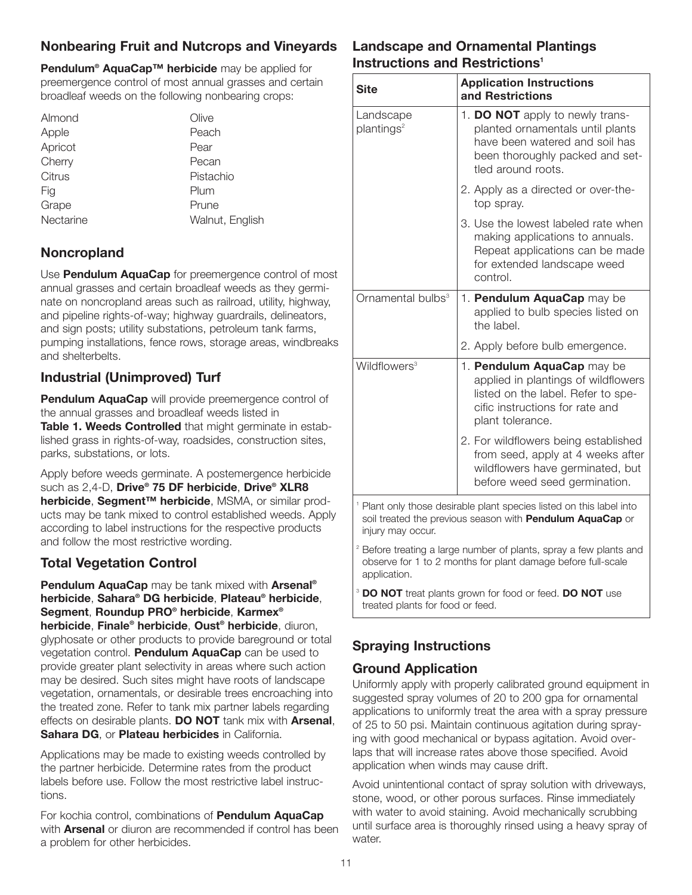## **Nonbearing Fruit and Nutcrops and Vineyards**

**Pendulum® AquaCap™ herbicide** may be applied for preemergence control of most annual grasses and certain broadleaf weeds on the following nonbearing crops:

| Almond    | Olive           |
|-----------|-----------------|
| Apple     | Peach           |
| Apricot   | Pear            |
| Cherry    | Pecan           |
| Citrus    | Pistachio       |
| Fig       | Plum            |
| Grape     | Prune           |
| Nectarine | Walnut, English |
|           |                 |

### **Noncropland**

Use **Pendulum AquaCap** for preemergence control of most annual grasses and certain broadleaf weeds as they germinate on noncropland areas such as railroad, utility, highway, and pipeline rights-of-way; highway guardrails, delineators, and sign posts; utility substations, petroleum tank farms, pumping installations, fence rows, storage areas, windbreaks and shelterbelts.

## **Industrial (Unimproved) Turf**

**Pendulum AquaCap** will provide preemergence control of the annual grasses and broadleaf weeds listed in **Table 1. Weeds Controlled** that might germinate in established grass in rights-of-way, roadsides, construction sites, parks, substations, or lots.

Apply before weeds germinate. A postemergence herbicide such as 2,4-D, **Drive® 75 DF herbicide**, **Drive® XLR8 herbicide**, **Segment™ herbicide**, MSMA, or similar products may be tank mixed to control established weeds. Apply according to label instructions for the respective products and follow the most restrictive wording.

## **Total Vegetation Control**

**Pendulum AquaCap** may be tank mixed with **Arsenal® herbicide**, **Sahara® DG herbicide**, **Plateau® herbicide**, **Segment**, **Roundup PRO® herbicide**, **Karmex® herbicide**, **Finale® herbicide**, **Oust® herbicide**, diuron, glyphosate or other products to provide bareground or total vegetation control. **Pendulum AquaCap** can be used to provide greater plant selectivity in areas where such action may be desired. Such sites might have roots of landscape vegetation, ornamentals, or desirable trees encroaching into the treated zone. Refer to tank mix partner labels regarding effects on desirable plants. **DO NOT** tank mix with **Arsenal**, **Sahara DG**, or **Plateau herbicides** in California.

Applications may be made to existing weeds controlled by the partner herbicide. Determine rates from the product labels before use. Follow the most restrictive label instructions.

For kochia control, combinations of **Pendulum AquaCap** with **Arsenal** or diuron are recommended if control has been a problem for other herbicides.

### **Landscape and Ornamental Plantings Instructions and Restrictions<sup>1</sup>**

| <b>Site</b>                         | <b>Application Instructions</b><br>and Restrictions                                                                                                            |
|-------------------------------------|----------------------------------------------------------------------------------------------------------------------------------------------------------------|
| Landscape<br>plantings <sup>2</sup> | 1. DO NOT apply to newly trans-<br>planted ornamentals until plants<br>have been watered and soil has<br>been thoroughly packed and set-<br>tled around roots. |
|                                     | 2. Apply as a directed or over-the-<br>top spray.                                                                                                              |
|                                     | 3. Use the lowest labeled rate when<br>making applications to annuals.<br>Repeat applications can be made<br>for extended landscape weed<br>control.           |
| Ornamental bulbs <sup>3</sup>       | 1. Pendulum AquaCap may be<br>applied to bulb species listed on<br>the label.                                                                                  |
|                                     | 2. Apply before bulb emergence.                                                                                                                                |
| Wildflowers <sup>3</sup>            | 1. Pendulum AquaCap may be<br>applied in plantings of wildflowers<br>listed on the label. Refer to spe-<br>cific instructions for rate and<br>plant tolerance. |
|                                     | 2. For wildflowers being established<br>from seed, apply at 4 weeks after<br>wildflowers have germinated, but<br>before weed seed germination.                 |
| injury may occur.                   | <sup>1</sup> Plant only those desirable plant species listed on this label into<br>soil treated the previous season with Pendulum AquaCap or                   |
| application.                        | <sup>2</sup> Before treating a large number of plants, spray a few plants and<br>observe for 1 to 2 months for plant damage before full-scale                  |
|                                     | <sup>3</sup> DO NOT treat plants grown for food or feed. DO NOT use                                                                                            |

## **Spraying Instructions**

treated plants for food or feed.

## **Ground Application**

Uniformly apply with properly calibrated ground equipment in suggested spray volumes of 20 to 200 gpa for ornamental applications to uniformly treat the area with a spray pressure of 25 to 50 psi. Maintain continuous agitation during spraying with good mechanical or bypass agitation. Avoid overlaps that will increase rates above those specified. Avoid application when winds may cause drift.

Avoid unintentional contact of spray solution with driveways, stone, wood, or other porous surfaces. Rinse immediately with water to avoid staining. Avoid mechanically scrubbing until surface area is thoroughly rinsed using a heavy spray of water.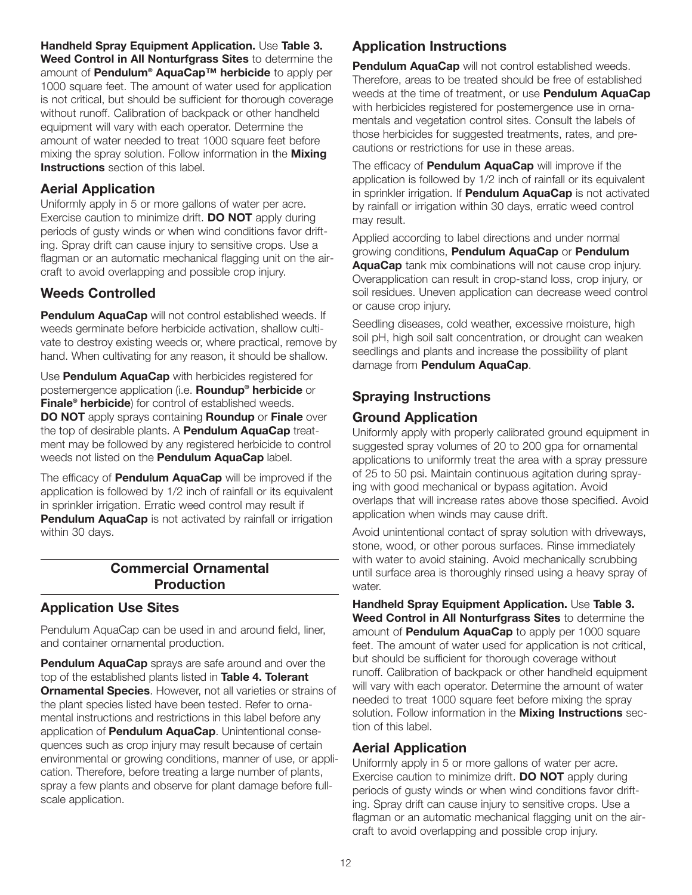**Handheld Spray Equipment Application.** Use **Table 3. Weed Control in All Nonturfgrass Sites** to determine the amount of **Pendulum® AquaCap™ herbicide** to apply per 1000 square feet. The amount of water used for application is not critical, but should be sufficient for thorough coverage without runoff. Calibration of backpack or other handheld equipment will vary with each operator. Determine the amount of water needed to treat 1000 square feet before mixing the spray solution. Follow information in the **Mixing Instructions** section of this label.

### **Aerial Application**

Uniformly apply in 5 or more gallons of water per acre. Exercise caution to minimize drift. **DO NOT** apply during periods of gusty winds or when wind conditions favor drifting. Spray drift can cause injury to sensitive crops. Use a flagman or an automatic mechanical flagging unit on the aircraft to avoid overlapping and possible crop injury.

## **Weeds Controlled**

**Pendulum AquaCap** will not control established weeds. If weeds germinate before herbicide activation, shallow cultivate to destroy existing weeds or, where practical, remove by hand. When cultivating for any reason, it should be shallow.

Use **Pendulum AquaCap** with herbicides registered for postemergence application (i.e. **Roundup® herbicide** or **Finale® herbicide**) for control of established weeds. **DO NOT** apply sprays containing **Roundup** or **Finale** over the top of desirable plants. A **Pendulum AquaCap** treatment may be followed by any registered herbicide to control weeds not listed on the **Pendulum AquaCap** label.

The efficacy of **Pendulum AquaCap** will be improved if the application is followed by 1/2 inch of rainfall or its equivalent in sprinkler irrigation. Erratic weed control may result if **Pendulum AquaCap** is not activated by rainfall or irrigation within 30 days.

#### **Commercial Ornamental Production**

#### **Application Use Sites**

Pendulum AquaCap can be used in and around field, liner, and container ornamental production.

**Pendulum AquaCap** sprays are safe around and over the top of the established plants listed in **Table 4. Tolerant Ornamental Species**. However, not all varieties or strains of the plant species listed have been tested. Refer to ornamental instructions and restrictions in this label before any application of **Pendulum AquaCap**. Unintentional consequences such as crop injury may result because of certain environmental or growing conditions, manner of use, or application. Therefore, before treating a large number of plants, spray a few plants and observe for plant damage before fullscale application.

## **Application Instructions**

**Pendulum AquaCap** will not control established weeds. Therefore, areas to be treated should be free of established weeds at the time of treatment, or use **Pendulum AquaCap** with herbicides registered for postemergence use in ornamentals and vegetation control sites. Consult the labels of those herbicides for suggested treatments, rates, and precautions or restrictions for use in these areas.

The efficacy of **Pendulum AquaCap** will improve if the application is followed by 1/2 inch of rainfall or its equivalent in sprinkler irrigation. If **Pendulum AquaCap** is not activated by rainfall or irrigation within 30 days, erratic weed control may result.

Applied according to label directions and under normal growing conditions, **Pendulum AquaCap** or **Pendulum AquaCap** tank mix combinations will not cause crop injury. Overapplication can result in crop-stand loss, crop injury, or soil residues. Uneven application can decrease weed control or cause crop injury.

Seedling diseases, cold weather, excessive moisture, high soil pH, high soil salt concentration, or drought can weaken seedlings and plants and increase the possibility of plant damage from **Pendulum AquaCap**.

## **Spraying Instructions**

## **Ground Application**

Uniformly apply with properly calibrated ground equipment in suggested spray volumes of 20 to 200 gpa for ornamental applications to uniformly treat the area with a spray pressure of 25 to 50 psi. Maintain continuous agitation during spraying with good mechanical or bypass agitation. Avoid overlaps that will increase rates above those specified. Avoid application when winds may cause drift.

Avoid unintentional contact of spray solution with driveways, stone, wood, or other porous surfaces. Rinse immediately with water to avoid staining. Avoid mechanically scrubbing until surface area is thoroughly rinsed using a heavy spray of water.

**Handheld Spray Equipment Application.** Use **Table 3. Weed Control in All Nonturfgrass Sites** to determine the amount of **Pendulum AquaCap** to apply per 1000 square feet. The amount of water used for application is not critical, but should be sufficient for thorough coverage without runoff. Calibration of backpack or other handheld equipment will vary with each operator. Determine the amount of water needed to treat 1000 square feet before mixing the spray solution. Follow information in the **Mixing Instructions** section of this label.

#### **Aerial Application**

Uniformly apply in 5 or more gallons of water per acre. Exercise caution to minimize drift. **DO NOT** apply during periods of gusty winds or when wind conditions favor drifting. Spray drift can cause injury to sensitive crops. Use a flagman or an automatic mechanical flagging unit on the aircraft to avoid overlapping and possible crop injury.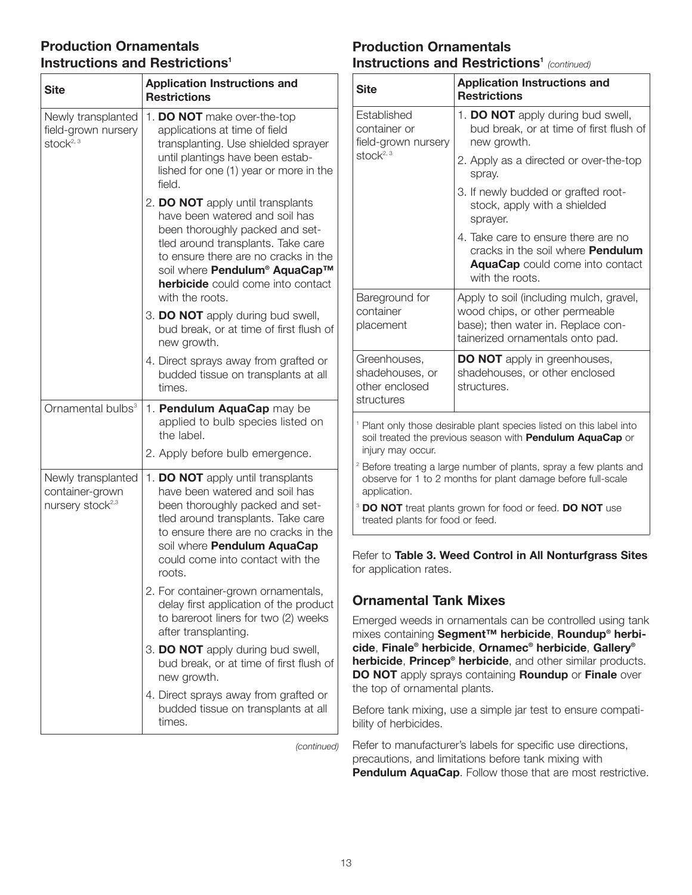### **Production Ornamentals Instructions and Restrictions<sup>1</sup>**

| <b>Site</b>                                                           | <b>Application Instructions and</b><br><b>Restrictions</b>                                                                                                                                                                                                                           |
|-----------------------------------------------------------------------|--------------------------------------------------------------------------------------------------------------------------------------------------------------------------------------------------------------------------------------------------------------------------------------|
| Newly transplanted<br>field-grown nursery<br>stock $2,3$              | 1. DO NOT make over-the-top<br>applications at time of field<br>transplanting. Use shielded sprayer<br>until plantings have been estab-<br>lished for one (1) year or more in the<br>field.                                                                                          |
|                                                                       | 2. DO NOT apply until transplants<br>have been watered and soil has<br>been thoroughly packed and set-<br>tled around transplants. Take care<br>to ensure there are no cracks in the<br>soil where Pendulum® AquaCap™<br><b>herbicide</b> could come into contact<br>with the roots. |
|                                                                       | 3. DO NOT apply during bud swell,<br>bud break, or at time of first flush of<br>new growth.                                                                                                                                                                                          |
|                                                                       | 4. Direct sprays away from grafted or<br>budded tissue on transplants at all<br>times.                                                                                                                                                                                               |
| Ornamental bulbs <sup>3</sup>                                         | 1. Pendulum AquaCap may be<br>applied to bulb species listed on<br>the label.                                                                                                                                                                                                        |
|                                                                       | 2. Apply before bulb emergence.                                                                                                                                                                                                                                                      |
| Newly transplanted<br>container-grown<br>nursery stock <sup>2,3</sup> | 1. DO NOT apply until transplants<br>have been watered and soil has<br>been thoroughly packed and set-<br>tled around transplants. Take care<br>to ensure there are no cracks in the<br>soil where Pendulum AquaCap<br>could come into contact with the<br>roots.                    |
|                                                                       | 2. For container-grown ornamentals,<br>delay first application of the product<br>to bareroot liners for two (2) weeks<br>after transplanting.                                                                                                                                        |
|                                                                       | 3. DO NOT apply during bud swell,<br>bud break, or at time of first flush of<br>new growth.                                                                                                                                                                                          |
|                                                                       | 4. Direct sprays away from grafted or<br>budded tissue on transplants at all<br>times.                                                                                                                                                                                               |

*(continued)*

#### **Production Ornamentals Instructions and Restrictions<sup>1</sup> (continued)**

| <b>Site</b>                                                     | <b>Application Instructions and</b><br><b>Restrictions</b>                                                                                          |
|-----------------------------------------------------------------|-----------------------------------------------------------------------------------------------------------------------------------------------------|
| Established<br>container or<br>field-grown nursery              | 1. DO NOT apply during bud swell,<br>bud break, or at time of first flush of<br>new growth.                                                         |
| stock $2,3$                                                     | 2. Apply as a directed or over-the-top<br>spray.                                                                                                    |
|                                                                 | 3. If newly budded or grafted root-<br>stock, apply with a shielded<br>sprayer.                                                                     |
|                                                                 | 4. Take care to ensure there are no<br>cracks in the soil where <b>Pendulum</b><br><b>AquaCap</b> could come into contact<br>with the roots.        |
| Bareground for<br>container<br>placement                        | Apply to soil (including mulch, gravel,<br>wood chips, or other permeable<br>base); then water in. Replace con-<br>tainerized ornamentals onto pad. |
| Greenhouses,<br>shadehouses, or<br>other enclosed<br>structures | <b>DO NOT</b> apply in greenhouses,<br>shadehouses, or other enclosed<br>structures.                                                                |
| injury may occur.                                               | <sup>1</sup> Plant only those desirable plant species listed on this label into<br>soil treated the previous season with Pendulum AquaCap or        |
| application.                                                    | <sup>2</sup> Before treating a large number of plants, spray a few plants and<br>observe for 1 to 2 months for plant damage before full-scale       |
| treated plants for food or feed.                                | <sup>3</sup> DO NOT treat plants grown for food or feed. DO NOT use                                                                                 |

Refer to **Table 3. Weed Control in All Nonturfgrass Sites** for application rates.

## **Ornamental Tank Mixes**

Emerged weeds in ornamentals can be controlled using tank mixes containing **Segment™ herbicide**, **Roundup® herbicide**, **Finale® herbicide**, **Ornamec® herbicide**, **Gallery® herbicide**, **Princep® herbicide**, and other similar products. **DO NOT** apply sprays containing **Roundup** or **Finale** over the top of ornamental plants.

Before tank mixing, use a simple jar test to ensure compatibility of herbicides.

Refer to manufacturer's labels for specific use directions, precautions, and limitations before tank mixing with **Pendulum AquaCap**. Follow those that are most restrictive.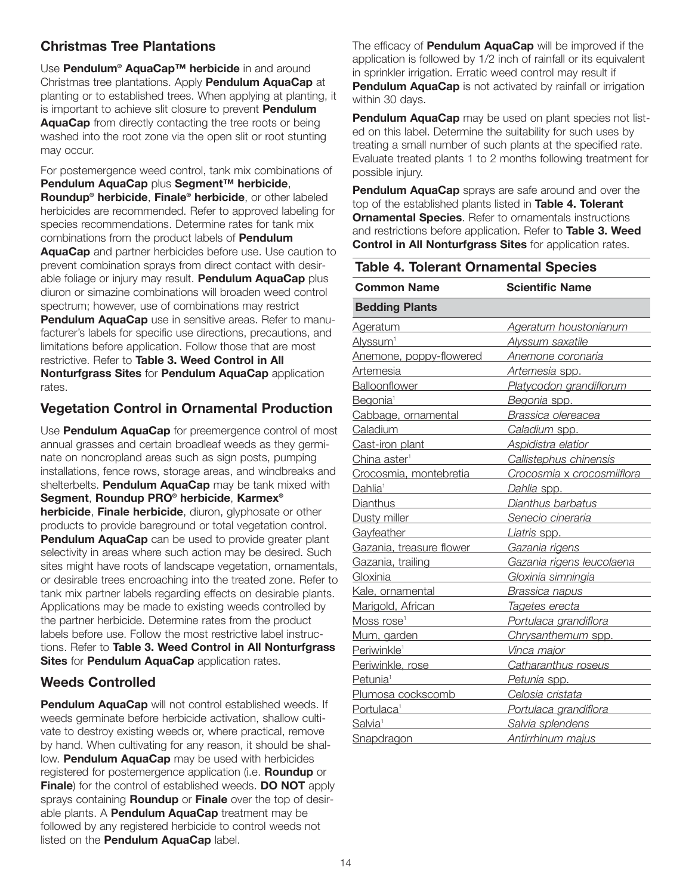## **Christmas Tree Plantations**

Use **Pendulum® AquaCap™ herbicide** in and around Christmas tree plantations. Apply **Pendulum AquaCap** at planting or to established trees. When applying at planting, it is important to achieve slit closure to prevent **Pendulum AquaCap** from directly contacting the tree roots or being washed into the root zone via the open slit or root stunting may occur.

For postemergence weed control, tank mix combinations of **Pendulum AquaCap** plus **Segment™ herbicide**, **Roundup® herbicide**, **Finale® herbicide**, or other labeled herbicides are recommended. Refer to approved labeling for species recommendations. Determine rates for tank mix combinations from the product labels of **Pendulum AquaCap** and partner herbicides before use. Use caution to prevent combination sprays from direct contact with desirable foliage or injury may result. **Pendulum AquaCap** plus diuron or simazine combinations will broaden weed control spectrum; however, use of combinations may restrict **Pendulum AquaCap** use in sensitive areas. Refer to manufacturer's labels for specific use directions, precautions, and limitations before application. Follow those that are most restrictive. Refer to **Table 3. Weed Control in All Nonturfgrass Sites** for **Pendulum AquaCap** application rates.

## **Vegetation Control in Ornamental Production**

Use **Pendulum AquaCap** for preemergence control of most annual grasses and certain broadleaf weeds as they germinate on noncropland areas such as sign posts, pumping installations, fence rows, storage areas, and windbreaks and shelterbelts. **Pendulum AquaCap** may be tank mixed with **Segment**, **Roundup PRO® herbicide**, **Karmex® herbicide**, **Finale herbicide**, diuron, glyphosate or other products to provide bareground or total vegetation control. **Pendulum AquaCap** can be used to provide greater plant selectivity in areas where such action may be desired. Such sites might have roots of landscape vegetation, ornamentals, or desirable trees encroaching into the treated zone. Refer to tank mix partner labels regarding effects on desirable plants. Applications may be made to existing weeds controlled by the partner herbicide. Determine rates from the product labels before use. Follow the most restrictive label instructions. Refer to **Table 3. Weed Control in All Nonturfgrass Sites** for **Pendulum AquaCap** application rates.

## **Weeds Controlled**

**Pendulum AquaCap** will not control established weeds. If weeds germinate before herbicide activation, shallow cultivate to destroy existing weeds or, where practical, remove by hand. When cultivating for any reason, it should be shallow. **Pendulum AquaCap** may be used with herbicides registered for postemergence application (i.e. **Roundup** or **Finale**) for the control of established weeds. **DO NOT** apply sprays containing **Roundup** or **Finale** over the top of desirable plants. A **Pendulum AquaCap** treatment may be followed by any registered herbicide to control weeds not listed on the **Pendulum AquaCap** label.

The efficacy of **Pendulum AquaCap** will be improved if the application is followed by 1/2 inch of rainfall or its equivalent in sprinkler irrigation. Erratic weed control may result if **Pendulum AquaCap** is not activated by rainfall or irrigation within 30 days.

**Pendulum AquaCap** may be used on plant species not listed on this label. Determine the suitability for such uses by treating a small number of such plants at the specified rate. Evaluate treated plants 1 to 2 months following treatment for possible injury.

**Pendulum AquaCap** sprays are safe around and over the top of the established plants listed in **Table 4. Tolerant Ornamental Species**. Refer to ornamentals instructions and restrictions before application. Refer to **Table 3. Weed Control in All Nonturfgrass Sites** for application rates.

| <b>Table 4. Tolerant Ornamental Species</b>                     |                            |  |
|-----------------------------------------------------------------|----------------------------|--|
| <b>Common Name</b>                                              | <b>Scientific Name</b>     |  |
| <b>Bedding Plants</b>                                           |                            |  |
| <b>Ageratum</b>                                                 | Ageratum houstonianum      |  |
| Alyssum <sup>1</sup>                                            | Alyssum saxatile           |  |
| Anemone, poppy-flowered                                         | Anemone coronaria          |  |
| Artemesia                                                       | Artemesia spp.             |  |
| <b>Balloonflower</b>                                            | Platycodon grandiflorum    |  |
| Begonia <sup>1</sup>                                            | Begonia spp.               |  |
| Cabbage, ornamental                                             | Brassica olereacea         |  |
| Caladium                                                        | Caladium spp.              |  |
| Cast-iron plant                                                 | Aspidistra elatior         |  |
| China aster <sup>1</sup>                                        | Callistephus chinensis     |  |
| Crocosmia, montebretia                                          | Crocosmia x crocosmiiflora |  |
| Dahlia <sup>1</sup>                                             | Dahlia spp.                |  |
| <b>Dianthus</b><br>the control of the control of the control of | Dianthus barbatus          |  |
| Dusty miller                                                    | Senecio cineraria          |  |
| Gayfeather                                                      | Liatris spp.               |  |
| Gazania, treasure flower                                        | Gazania rigens             |  |
| Gazania, trailing                                               | Gazania rigens leucolaena  |  |
| Gloxinia                                                        | Gloxinia simningia         |  |
| Kale, ornamental                                                | Brassica napus             |  |
| Marigold, African                                               | Tagetes erecta             |  |
| Moss rose <sup>1</sup>                                          | Portulaca grandiflora      |  |
| Mum, garden                                                     | Chrysanthemum spp.         |  |
| Periwinkle <sup>1</sup>                                         | Vinca major                |  |
| Periwinkle, rose                                                | Catharanthus roseus        |  |
| Petunia <sup>1</sup>                                            | Petunia spp.               |  |
| Plumosa cockscomb                                               | Celosia cristata           |  |
| Portulaca <sup>1</sup>                                          | Portulaca grandiflora      |  |
| Salvia <sup>1</sup>                                             | Salvia splendens           |  |
| Snapdragon                                                      | Antirrhinum majus          |  |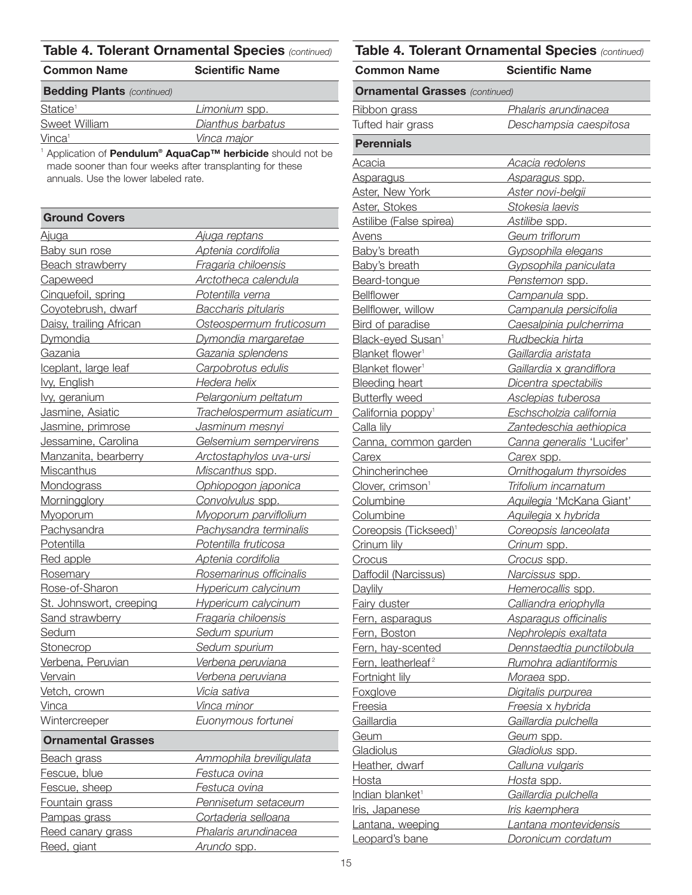| <b>Common Name</b>                | <b>Scientific Name</b> |  |
|-----------------------------------|------------------------|--|
| <b>Bedding Plants (continued)</b> |                        |  |
| Statice <sup>1</sup>              | Limonium spp.          |  |
| Sweet William                     | Dianthus barbatus      |  |
| Vinca <sup>1</sup>                | Vinca major            |  |

<sup>1</sup> Application of **Pendulum® AquaCap™ herbicide** should not be made sooner than four weeks after transplanting for these annuals. Use the lower labeled rate.

| <b>Ground Covers</b>                              |                                  |
|---------------------------------------------------|----------------------------------|
| <u>Ajuga</u>                                      | <u>Ajuga reptans</u>             |
| <b>Baby sun rose</b>                              | Aptenia cordifolia               |
| Beach strawberry                                  | Fragaria chiloensis              |
| Capeweed                                          | Arctotheca calendula             |
| Cinquefoil, spring                                | Potentilla verna                 |
| Coyotebrush, dwarf                                | <b>Baccharis pitularis</b>       |
| Daisy, trailing African                           | Osteospermum fruticosum          |
| <b>Dymondia</b>                                   | Dymondia margaretae              |
| Gazania                                           | Gazania splendens                |
| Iceplant, large leaf                              | Carpobrotus edulis               |
| lvy, English<br><b>Contract Contract Contract</b> | Hedera helix                     |
| lvy, geranium                                     | Pelargonium peltatum             |
| Jasmine, Asiatic                                  | Trachelospermum asiaticum        |
| Jasmine, primrose                                 | Jasminum mesnyi                  |
| Jessamine, Carolina                               | Gelsemium sempervirens           |
| Manzanita, bearberry                              | <u>Arctostaphylos uva-ursi —</u> |
| <b>Miscanthus</b>                                 | Miscanthus spp.                  |
| Mondograss Mondo                                  | Ophiopogon japonica              |
| Morningglory Morning                              | Convolvulus spp.                 |
| Myoporum                                          | Myoporum parviflolium            |
| Pachysandra                                       | Pachysandra terminalis           |
| Potentilla                                        | Potentilla fruticosa             |
| Red apple                                         | Aptenia cordifolia               |
| Rosemary                                          | Rosemarinus officinalis          |
| Rose-of-Sharon                                    | <b>Hypericum calycinum</b>       |
| St. Johnswort, creeping                           | Hypericum calycinum              |
| Sand strawberry                                   | Fragaria chiloensis              |
| Sedum                                             | Sedum spurium                    |
| <b>Stonecrop</b>                                  | Sedum spurium                    |
| Verbena, Peruvian                                 | <u>Verbena peruviana lan</u>     |
| Vervain                                           | Verbena peruviana                |
| Vetch, crown                                      | Vicia sativa                     |
| Vinca                                             | Vinca minor                      |
| Wintercreeper                                     | Euonymous fortunei               |
| <b>Ornamental Grasses</b>                         |                                  |
| <b>Beach grass</b>                                | <u>Ammophila breviligulata</u>   |
| Fescue, blue                                      | Festuca ovina                    |
| Fescue, sheep                                     | Festuca ovina                    |
| <b>Fountain grass</b>                             | Pennisetum setaceum              |
| Pampas grass                                      | Cortaderia selloana              |
| Reed canary grass                                 | Phalaris arundinacea             |

Reed, giant *Arundo* spp.

| <b>Common Name</b>                                                                                                                                                                                                                   | <b>Scientific Name</b>           |  |
|--------------------------------------------------------------------------------------------------------------------------------------------------------------------------------------------------------------------------------------|----------------------------------|--|
| <b>Ornamental Grasses</b> (continued)                                                                                                                                                                                                |                                  |  |
| Ribbon grass                                                                                                                                                                                                                         | Phalaris arundinacea             |  |
| Tufted hair grass                                                                                                                                                                                                                    | Deschampsia caespitosa           |  |
| <b>Perennials</b>                                                                                                                                                                                                                    |                                  |  |
| <u>Acacia</u>                                                                                                                                                                                                                        | Acacia redolens                  |  |
| <b>Asparagus</b>                                                                                                                                                                                                                     | <u>Asparagus spp.</u>            |  |
| <b>Aster, New York</b>                                                                                                                                                                                                               | <u>Aster novi-belgii</u>         |  |
| Aster, Stokes                                                                                                                                                                                                                        | Stokesia laevis                  |  |
| Astilibe (False spirea)                                                                                                                                                                                                              | <u>Astilibe spp. ___</u>         |  |
| Avens                                                                                                                                                                                                                                | Geum triflorum                   |  |
| <b>Baby's breath</b>                                                                                                                                                                                                                 | Gypsophila elegans               |  |
| Baby's breath                                                                                                                                                                                                                        | Gypsophila paniculata            |  |
| Beard-tongue                                                                                                                                                                                                                         | Penstemon spp.                   |  |
| <b>Bellflower</b>                                                                                                                                                                                                                    | Campanula spp.                   |  |
| Bellflower, willow                                                                                                                                                                                                                   | Campanula persicifolia           |  |
| <b>Bird of paradise</b>                                                                                                                                                                                                              | Caesalpinia pulcherrima          |  |
| Black-eyed Susan <sup>1</sup>                                                                                                                                                                                                        | Rudbeckia hirta                  |  |
| Blanket flower <sup>1</sup>                                                                                                                                                                                                          | Gaillardia aristata              |  |
| Blanket flower <sup>1</sup>                                                                                                                                                                                                          | Gaillardia x grandiflora         |  |
| <b>Bleeding heart</b>                                                                                                                                                                                                                | Dicentra spectabilis             |  |
| <b>Butterfly weed</b>                                                                                                                                                                                                                | Asclepias tuberosa               |  |
| California poppy <sup>1</sup>                                                                                                                                                                                                        | Eschscholzia california          |  |
| Calla lily<br><u>Calla lily</u>                                                                                                                                                                                                      | Zantedeschia aethiopica          |  |
| Canna, common garden                                                                                                                                                                                                                 | Canna generalis 'Lucifer'        |  |
| Carex                                                                                                                                                                                                                                | Carex spp.                       |  |
| Chincherinchee                                                                                                                                                                                                                       | Ornithogalum thyrsoides          |  |
| Clover, crimson <sup>1</sup>                                                                                                                                                                                                         | Trifolium incarnatum             |  |
| Columbine                                                                                                                                                                                                                            | Aquilegia 'McKana Giant'         |  |
| Columbine                                                                                                                                                                                                                            | Aquilegia x hybrida              |  |
| Coreopsis (Tickseed) <sup>1</sup>                                                                                                                                                                                                    | Coreopsis lanceolata             |  |
| Crinum lily                                                                                                                                                                                                                          | Crinum spp.                      |  |
| <u>Crocus</u>                                                                                                                                                                                                                        | Crocus spp.                      |  |
| Daffodil (Narcissus)                                                                                                                                                                                                                 | <u>Narcissus spp. __________</u> |  |
| <b>Daylily</b><br><u> 1989 - Andrea Station, amerikansk politiker (</u>                                                                                                                                                              | Hemerocallis spp.                |  |
| <b>Fairy duster</b>                                                                                                                                                                                                                  | Calliandra eriophylla            |  |
| Fern, asparagus                                                                                                                                                                                                                      | Asparagus officinalis            |  |
| Fern, Boston<br><u> 1989 - Jan Barnett, fransk politiker</u>                                                                                                                                                                         | Nephrolepis exaltata             |  |
| Fern, hay-scented                                                                                                                                                                                                                    | Dennstaedtia punctilobula        |  |
| Fern, leatherleaf <sup>2</sup>                                                                                                                                                                                                       | Rumohra adiantiformis            |  |
| Fortnight lily <b>Example 2014</b>                                                                                                                                                                                                   | Moraea spp.                      |  |
| <b>Foxglove Example 2014</b>                                                                                                                                                                                                         | Digitalis purpurea               |  |
| Freesia <b>Maria Maria Baraton Baraton Baraton Baraton Baraton Baraton Baraton Baraton Baraton Baraton Baraton Baraton Baraton Baraton Baraton Baraton Baraton Baraton Baraton Baraton Baraton Baraton Baraton Baraton Baraton B</b> | Freesia x hybrida                |  |
| Gaillardia <b>Caillang</b>                                                                                                                                                                                                           | Gaillardia pulchella             |  |
| <u>Geum</u>                                                                                                                                                                                                                          | Geum spp.                        |  |
| Gladiolus                                                                                                                                                                                                                            | Gladiolus spp.                   |  |
| Heather, dwarf                                                                                                                                                                                                                       | Calluna vulgaris                 |  |
| Hosta                                                                                                                                                                                                                                | Hosta spp.                       |  |
| Indian blanket <sup>1</sup>                                                                                                                                                                                                          | Gaillardia pulchella             |  |
| Iris, Japanese<br>and the control of the control of                                                                                                                                                                                  | Iris kaemphera                   |  |
| Lantana, weeping                                                                                                                                                                                                                     | Lantana montevidensis            |  |
| Leopard's bane                                                                                                                                                                                                                       | Doronicum cordatum               |  |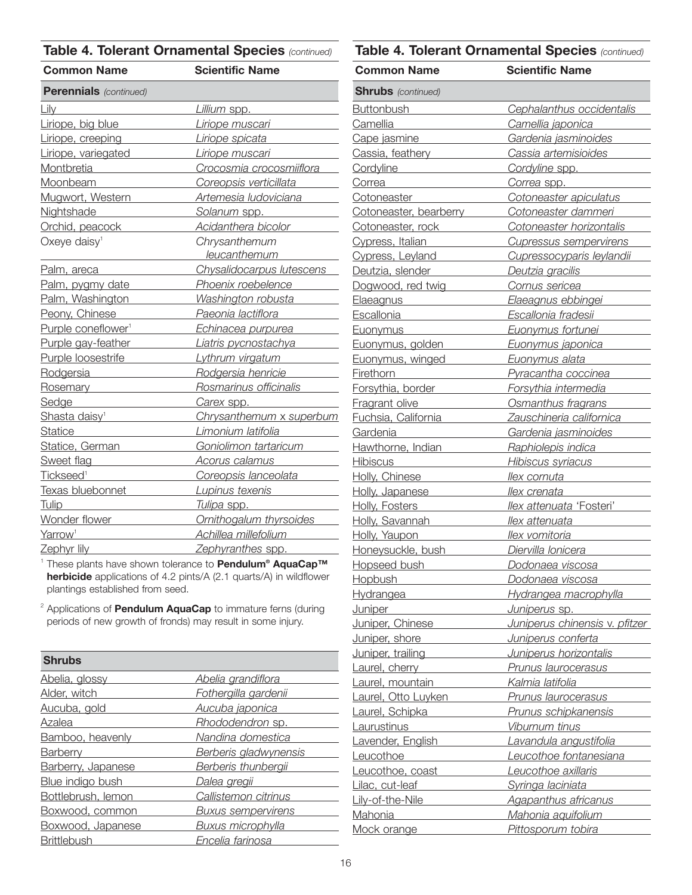| <b>Common Name</b>                                             | <b>Scientific Name</b>             |
|----------------------------------------------------------------|------------------------------------|
| <b>Perennials</b> (continued)                                  |                                    |
| Lily                                                           | Lillium spp.                       |
| Liriope, big blue                                              | Liriope muscari                    |
| Liriope, creeping                                              | Liriope spicata                    |
| Liriope, variegated                                            | Liriope muscari                    |
| Montbretia                                                     | Crocosmia crocosmiiflora           |
| Moonbeam                                                       | Coreopsis verticillata             |
| Mugwort, Western                                               | Artemesia ludoviciana              |
| Nightshade                                                     | Solanum spp.                       |
| Orchid, peacock                                                | Acidanthera bicolor                |
| Oxeye daisy <sup>1</sup>                                       | Chrysanthemum                      |
|                                                                | leucanthemum                       |
| Palm, areca                                                    | Chysalidocarpus lutescens          |
| Palm, pygmy date                                               | Phoenix roebelence                 |
| Palm, Washington                                               | Washington robusta                 |
| Peony, Chinese                                                 | Paeonia lactiflora                 |
| Purple coneflower <sup>1</sup>                                 | <u>Echinacea purpurea economic</u> |
| Purple gay-feather                                             | Liatris pycnostachya               |
| Purple loosestrife                                             | Lythrum virgatum                   |
| Rodgersia                                                      | Rodgersia henricie                 |
| Rosemary <b>Rosemary</b>                                       | Rosmarinus officinalis             |
| Sedge                                                          | Carex spp.                         |
| Shasta daisy <sup>1</sup><br><b>Contract Contract Contract</b> | Chrysanthemum x superbum           |
| <b>Statice</b>                                                 | Limonium latifolia                 |
| Statice, German                                                | Goniolimon tartaricum              |
| Sweet flag                                                     | <b>Acorus calamus</b>              |
| Tickseed <sup>1</sup>                                          | Coreopsis lanceolata               |
| Texas bluebonnet                                               | Lupinus texenis                    |
| <b>Tulip</b>                                                   | Tulipa spp.                        |
| Wonder flower                                                  | Ornithogalum thyrsoides            |
| Yarrow <sup>1</sup>                                            | Achillea millefolium               |
| Zephyr lily                                                    | Zephyranthes spp.                  |

<sup>1</sup> These plants have shown tolerance to **Pendulum® AquaCap™ herbicide** applications of 4.2 pints/A (2.1 quarts/A) in wildflower plantings established from seed.

<sup>2</sup> Applications of **Pendulum AquaCap** to immature ferns (during periods of new growth of fronds) may result in some injury.

| <b>Shrubs</b>      |                              |
|--------------------|------------------------------|
| Abelia, glossy     | Abelia grandiflora           |
| Alder, witch       | Fothergilla gardenii         |
| Aucuba, gold       | Aucuba japonica              |
| Azalea             | Rhododendron sp.             |
| Bamboo, heavenly   | Nandina domestica            |
| Barberry           | <b>Berberis gladwynensis</b> |
| Barberry, Japanese | Berberis thunbergii          |
| Blue indigo bush   | Dalea gregii                 |
| Bottlebrush, lemon | Callistemon citrinus         |
| Boxwood, common    | <b>Buxus sempervirens</b>    |
| Boxwood, Japanese  | <b>Buxus microphylla</b>     |
| <b>Brittlebush</b> | Encelia farinosa             |

| <b>Common Name</b>                                                                                                                                                                                                                   | <b>Scientific Name</b>         |
|--------------------------------------------------------------------------------------------------------------------------------------------------------------------------------------------------------------------------------------|--------------------------------|
| <b>Shrubs</b> (continued)                                                                                                                                                                                                            |                                |
| <b>Buttonbush</b>                                                                                                                                                                                                                    | Cephalanthus occidentalis      |
| Camellia                                                                                                                                                                                                                             | Camellia japonica              |
| Cape jasmine                                                                                                                                                                                                                         | Gardenia jasminoides           |
| Cassia, feathery                                                                                                                                                                                                                     | Cassia artemisioides           |
| Cordyline                                                                                                                                                                                                                            | Cordyline spp.                 |
| Correa                                                                                                                                                                                                                               | Correa spp.                    |
| <b>Cotoneaster</b>                                                                                                                                                                                                                   | Cotoneaster apiculatus         |
| Cotoneaster, bearberry                                                                                                                                                                                                               | Cotoneaster dammeri            |
| Cotoneaster, rock                                                                                                                                                                                                                    | Cotoneaster horizontalis       |
| Cypress, Italian                                                                                                                                                                                                                     | <b>Cupressus sempervirens</b>  |
| Cypress, Leyland                                                                                                                                                                                                                     | Cupressocyparis leylandii      |
| Deutzia, slender                                                                                                                                                                                                                     | Deutzia gracilis               |
| Dogwood, red twig                                                                                                                                                                                                                    | Cornus sericea                 |
| Elaeagnus                                                                                                                                                                                                                            | Elaeagnus ebbingei             |
| Escallonia                                                                                                                                                                                                                           | Escallonia fradesii            |
| <b>Euonymus</b>                                                                                                                                                                                                                      | Euonymus fortunei              |
| Euonymus, golden                                                                                                                                                                                                                     | Euonymus japonica              |
| Euonymus, winged                                                                                                                                                                                                                     | Euonymus alata                 |
| <b>Firethorn</b>                                                                                                                                                                                                                     | Pyracantha coccinea            |
| Forsythia, border                                                                                                                                                                                                                    | Forsythia intermedia           |
| Fragrant olive                                                                                                                                                                                                                       | Osmanthus fragrans             |
| Fuchsia, California                                                                                                                                                                                                                  | Zauschineria californica       |
| Gardenia                                                                                                                                                                                                                             | Gardenia jasminoides           |
| Hawthorne, Indian                                                                                                                                                                                                                    | Raphiolepis indica             |
| Hibiscus                                                                                                                                                                                                                             | Hibiscus syriacus              |
| Holly, Chinese                                                                                                                                                                                                                       | llex cornuta                   |
| Holly, Japanese                                                                                                                                                                                                                      | llex crenata                   |
| Holly, Fosters                                                                                                                                                                                                                       | llex attenuata 'Fosteri'       |
| Holly, Savannah                                                                                                                                                                                                                      | llex attenuata                 |
| Holly, Yaupon                                                                                                                                                                                                                        | llex vomitoria                 |
| Honeysuckle, bush                                                                                                                                                                                                                    | Diervilla Ionicera             |
| Hopseed bush                                                                                                                                                                                                                         | Dodonaea viscosa               |
| <b>Hopbush</b><br>$\mathcal{L}^{\mathcal{L}}(\mathcal{L}^{\mathcal{L}})$ and $\mathcal{L}^{\mathcal{L}}(\mathcal{L}^{\mathcal{L}})$ and $\mathcal{L}^{\mathcal{L}}(\mathcal{L}^{\mathcal{L}})$                                       | Dodonaea viscosa               |
| Hydrangea <b>Hydrangea</b>                                                                                                                                                                                                           | Hydrangea macrophylla          |
| <b>Juniper</b>                                                                                                                                                                                                                       | Juniperus sp.                  |
| Juniper, Chinese                                                                                                                                                                                                                     | Juniperus chinensis v. pfitzer |
| Juniper, shore <b>Show and Show and Show and Show and Show and Show and Show and Show and Show and Show and Show and Show and Show and Show and Show and Show and Show and Show and Show and Show and Show and Show and Show and</b> | Juniperus conferta             |
| Juniper, trailing <b>Juniper</b>                                                                                                                                                                                                     | Juniperus horizontalis         |
| Laurel, cherry <b>Laurely</b>                                                                                                                                                                                                        | Prunus laurocerasus            |
| Laurel, mountain                                                                                                                                                                                                                     | Kalmia latifolia               |
| Laurel, Otto Luyken                                                                                                                                                                                                                  | Prunus laurocerasus            |
| Laurel, Schipka                                                                                                                                                                                                                      | Prunus schipkanensis           |
| Laurustinus                                                                                                                                                                                                                          | Viburnum tinus                 |
| Lavender, English                                                                                                                                                                                                                    | Lavandula angustifolia         |
| Leucothoe                                                                                                                                                                                                                            | Leucothoe fontanesiana         |
| Leucothoe, coast                                                                                                                                                                                                                     | Leucothoe axillaris            |
| Lilac, cut-leaf<br><u> 1999 - Jan Jawa</u>                                                                                                                                                                                           | Syringa laciniata              |
| Lily-of-the-Nile                                                                                                                                                                                                                     | <b>Agapanthus africanus</b>    |
| Mahonia                                                                                                                                                                                                                              | Mahonia aquifolium             |
| Mock orange                                                                                                                                                                                                                          | Pittosporum tobira             |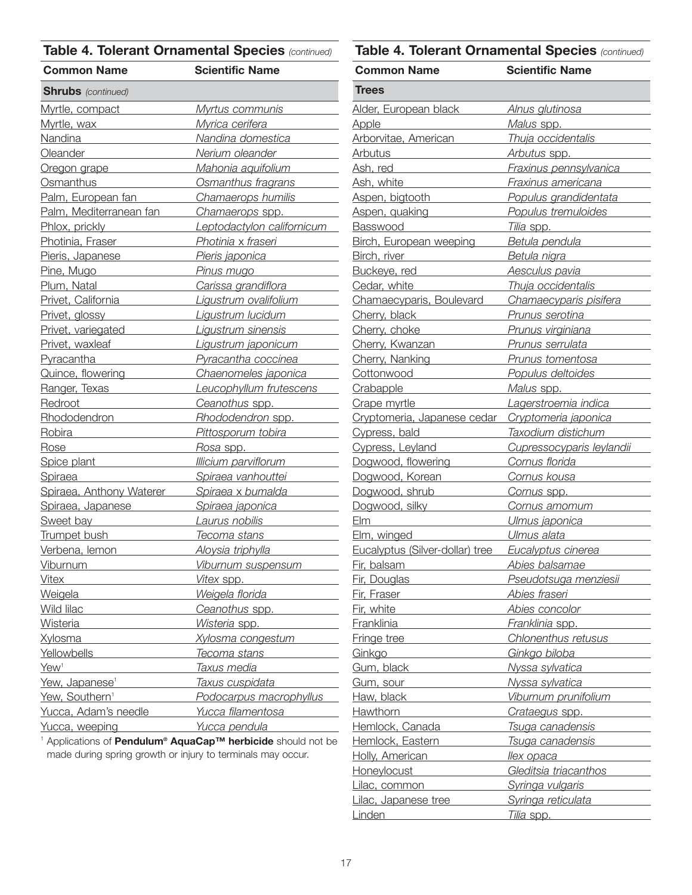| <b>Common Name</b>                                                                                                                                      | <b>Scientific Name</b>                                 |
|---------------------------------------------------------------------------------------------------------------------------------------------------------|--------------------------------------------------------|
| <b>Shrubs</b> (continued)                                                                                                                               |                                                        |
| Myrtle, compact                                                                                                                                         | <u>Myrtus communis </u>                                |
| Myrtle, wax                                                                                                                                             | <u>Myrica cerifera eleccional est</u>                  |
| Nandina                                                                                                                                                 | Nandina domestica                                      |
| Oleander <b>Contract Contract Contract Contract Contract Contract Contract Contract Contract Contract Contract Co</b>                                   | Nerium oleander                                        |
| Oregon grape                                                                                                                                            | Mahonia aquifolium                                     |
| Osmanthus                                                                                                                                               | Osmanthus fragrans                                     |
| Palm, European fan                                                                                                                                      | Chamaerops humilis                                     |
| Palm, Mediterranean fan                                                                                                                                 | Chamaerops spp.                                        |
| Phlox, prickly<br><u> Tanzania (</u>                                                                                                                    | Leptodactylon californicum                             |
| Photinia, Fraser                                                                                                                                        | Photinia x fraseri                                     |
| Pieris, Japanese                                                                                                                                        | Pieris japonica                                        |
| Pine, Mugo                                                                                                                                              | <u>Pinus mugo</u><br>the company of the company of the |
| Plum, Natal                                                                                                                                             | <u>Carissa grandiflora ______</u>                      |
| Privet, California                                                                                                                                      | Ligustrum ovalifolium                                  |
| Privet, glossy                                                                                                                                          |                                                        |
| Privet, variegated                                                                                                                                      | Ligustrum sinensis                                     |
| Privet, waxleaf                                                                                                                                         | Ligustrum japonicum                                    |
| Pyracantha<br>$\mathcal{L}(\mathcal{L}^{\mathcal{L}})$ and $\mathcal{L}^{\mathcal{L}}$ are the set of the set of the set of $\mathcal{L}^{\mathcal{L}}$ | <u>Pyracantha coccinea record</u>                      |
| Quince, flowering                                                                                                                                       | Chaenomeles japonica                                   |
| Ranger, Texas                                                                                                                                           | Leucophyllum frutescens                                |
| Redroot                                                                                                                                                 | Ceanothus spp.                                         |
| Rhododendron                                                                                                                                            | Rhododendron spp.                                      |
| Robira                                                                                                                                                  | Pittosporum tobira                                     |
| Rose                                                                                                                                                    | <u>Rosa spp. ______________</u>                        |
| Spice plant                                                                                                                                             | <u>Illicium parviflorum et est est un </u>             |
| Spiraea                                                                                                                                                 | Spiraea vanhouttei                                     |
| Spiraea, Anthony Waterer                                                                                                                                | Spiraea x bumalda                                      |
| Spiraea, Japanese                                                                                                                                       | Spiraea japonica                                       |
| Sweet bay                                                                                                                                               | Laurus nobilis                                         |
| Trumpet bush                                                                                                                                            | Tecoma stans                                           |
| Verbena, lemon                                                                                                                                          | Aloysia triphylla                                      |
| Viburnum                                                                                                                                                | <u>Viburnum suspensum </u>                             |
| <b>Vitex</b>                                                                                                                                            | Vitex spp.                                             |
| <u>Weigela</u>                                                                                                                                          | Weigela florida <b>Musical Community</b>               |
| Wild lilac                                                                                                                                              | Ceanothus spp.                                         |
| <b>Wisteria</b>                                                                                                                                         | Wisteria spp.                                          |
| <b>Xylosma</b>                                                                                                                                          | <u>Xylosma congestum romani</u>                        |
| Yellowbells                                                                                                                                             | Tecoma stans                                           |
| Yew <sup>1</sup>                                                                                                                                        | <u>Taxus media</u>                                     |
| Yew, Japanese <sup>1</sup>                                                                                                                              | <u>Taxus cuspidata</u>                                 |
| Yew, Southern <sup>1</sup>                                                                                                                              | Podocarpus macrophyllus                                |
| Yucca, Adam's needle                                                                                                                                    | Yucca filamentosa                                      |
| Yucca, weeping                                                                                                                                          | <u>Yucca pendula</u>                                   |

<sup>1</sup> Applications of **Pendulum® AquaCap™ herbicide** should not be made during spring growth or injury to terminals may occur.

| <b>Common Name</b>                        | <b>Scientific Name</b>                                                                        |
|-------------------------------------------|-----------------------------------------------------------------------------------------------|
| Trees                                     |                                                                                               |
| <u> Alder, European black</u>             | <u>Alnus glutinosa</u>                                                                        |
| <b>Apple</b>                              | Malus spp.                                                                                    |
| Arborvitae, American                      | Thuja occidentalis                                                                            |
| <b>Arbutus</b>                            | Arbutus spp.                                                                                  |
| Ash, red                                  | Fraxinus pennsylvanica                                                                        |
| Ash, white                                | Fraxinus americana                                                                            |
| Aspen, bigtooth                           | Populus grandidentata                                                                         |
| Aspen, quaking                            | Populus tremuloides                                                                           |
| Basswood                                  | Tilia spp.                                                                                    |
| <b>Birch, European weeping</b>            | Betula pendula                                                                                |
| Birch, river                              | Betula nigra                                                                                  |
| Buckeye, red                              | Aesculus pavia                                                                                |
| Cedar, white                              | Thuja occidentalis                                                                            |
| Chamaecyparis, Boulevard                  | Chamaecyparis pisifera                                                                        |
| Cherry, black                             | Prunus serotina                                                                               |
| Cherry, choke                             | Prunus virginiana                                                                             |
| Cherry, Kwanzan                           | Prunus serrulata                                                                              |
| Cherry, Nanking                           | Prunus tomentosa                                                                              |
| Cottonwood                                | Populus deltoides                                                                             |
| Crabapple                                 | <u>Malus spp.</u>                                                                             |
| Crape myrtle                              | Lagerstroemia indica                                                                          |
| Cryptomeria, Japanese cedar               | Cryptomeria japonica                                                                          |
| Cypress, bald                             | Taxodium distichum                                                                            |
| Cypress, Leyland                          | Cupressocyparis leylandii                                                                     |
| Dogwood, flowering                        | Cornus florida                                                                                |
| Dogwood, Korean                           | Cornus kousa                                                                                  |
| Dogwood, shrub                            | Cornus spp.                                                                                   |
| Dogwood, silky                            | Cornus amomum                                                                                 |
| El                                        | Ulmus japonica                                                                                |
| Elm, winged                               | Ulmus alata                                                                                   |
| Eucalyptus (Silver-dollar) tree           | Eucalyptus cinerea                                                                            |
| Fir, balsam                               | Abies balsamae                                                                                |
| Fir, Douglas                              | Pseudotsuga menziesii                                                                         |
| Fir, Fraser                               | Abies fraseri <b>Abies</b> <i>straseri</i> <b>Abies</b> <i>straseri</i> <b>Abies <i>n</i></b> |
| Fir, white <b>Example 2018</b>            | Abies concolor                                                                                |
| Franklinia <b>Franklinia</b>              | Franklinia spp.                                                                               |
| Fringe tree                               | Chlonenthus retusus                                                                           |
| Ginkgo                                    | Ginkgo biloba <b>Santana (1994)</b>                                                           |
| Gum, black <b>Communication</b>           | Nyssa sylvatica                                                                               |
| Gum, sour                                 | Nyssa sylvatica                                                                               |
| Haw, black <b>Haw</b>                     | Viburnum prunifolium                                                                          |
| Hawthorn <b>Exercise State Advanturer</b> | Crataegus spp.                                                                                |
| Hemlock, Canada <b>Martin Adams Adams</b> | Tsuga canadensis                                                                              |
| Hemlock, Eastern                          | <u>Tsuga canadensis esterna e</u>                                                             |
| Holly, American                           | <u>llex opaca ______________</u>                                                              |
| Honeylocust Manuscript                    | Gleditsia triacanthos                                                                         |
| Lilac, common                             | Syringa vulgaris                                                                              |
| Lilac, Japanese tree                      | Syringa reticulata                                                                            |
| Linden                                    | Tilia spp.                                                                                    |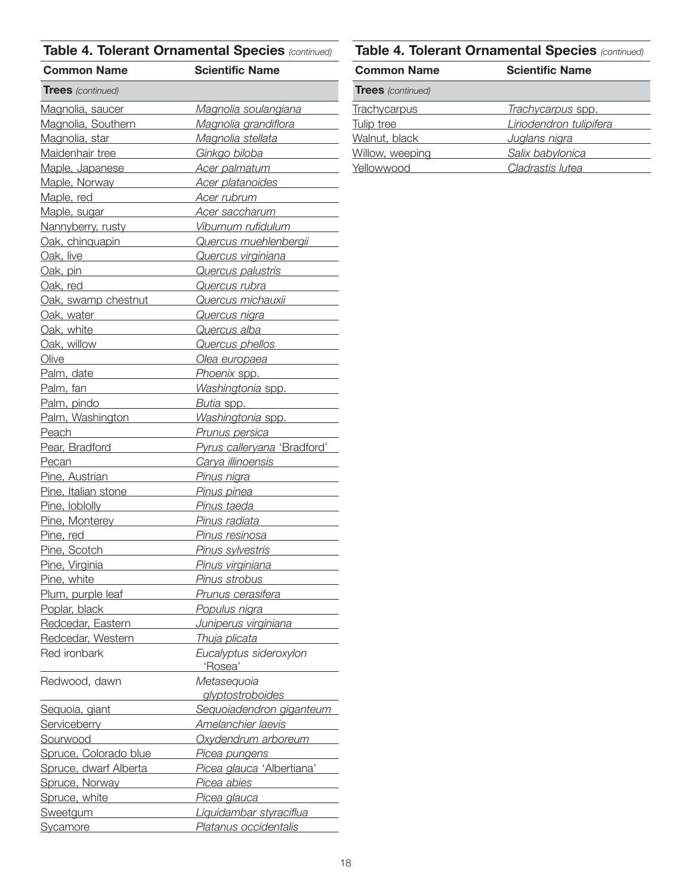| <b>Common Name</b>                                                                                                                                                                                                             | <b>Scientific Name</b>                                            |
|--------------------------------------------------------------------------------------------------------------------------------------------------------------------------------------------------------------------------------|-------------------------------------------------------------------|
| <b>Trees</b> (continued)                                                                                                                                                                                                       |                                                                   |
| Magnolia, saucer                                                                                                                                                                                                               | <u>Magnolia soulangiana</u>                                       |
| Magnolia, Southern                                                                                                                                                                                                             | Magnolia grandiflora                                              |
| Magnolia, star <b>Magnolia</b> , star                                                                                                                                                                                          | Magnolia stellata                                                 |
| Maidenhair tree                                                                                                                                                                                                                | Ginkgo biloba                                                     |
| Maple, Japanese                                                                                                                                                                                                                | Acer palmatum                                                     |
| Maple, Norway <b>Maple</b> Maple Maple                                                                                                                                                                                         | Acer platanoides                                                  |
| Maple, red                                                                                                                                                                                                                     | Acer rubrum                                                       |
| Maple, sugar <b>Maple</b>                                                                                                                                                                                                      | Acer saccharum                                                    |
| Nannyberry, rusty                                                                                                                                                                                                              | Viburnum rufidulum                                                |
| Oak, chinquapin                                                                                                                                                                                                                | Quercus muehlenbergii                                             |
| Oak, live                                                                                                                                                                                                                      | Quercus virginiana                                                |
| Oak, pin                                                                                                                                                                                                                       | Quercus palustris                                                 |
| Oak, red                                                                                                                                                                                                                       | Quercus rubra                                                     |
| Oak, swamp chestnut                                                                                                                                                                                                            | Quercus michauxii <b>Quercus</b>                                  |
| Oak, water                                                                                                                                                                                                                     | Quercus nigra                                                     |
| Oak, white the control of the control of the control of the control of the control of the control of the control of the control of the control of the control of the control of the control of the control of the control of t | Quercus alba                                                      |
| Oak, willow Dak and Dak and Dak and Dak and Dak and Dak and Dak and Dak and Dak and Dak and Dak and Dak and D                                                                                                                  | Quercus phellos                                                   |
| Olive                                                                                                                                                                                                                          | Olea europaea                                                     |
| Palm, date                                                                                                                                                                                                                     | Phoenix spp.                                                      |
| <u>Palm, fan <i>Elenander</i></u>                                                                                                                                                                                              | Washingtonia spp.                                                 |
| Palm, pindo                                                                                                                                                                                                                    | Butia spp.                                                        |
| Palm, Washington                                                                                                                                                                                                               | Washingtonia spp.                                                 |
| Peach______                                                                                                                                                                                                                    | <u>Prunus persica providents</u>                                  |
| Pear, Bradford                                                                                                                                                                                                                 | Pyrus calleryana 'Bradford'                                       |
| Pecan 2008                                                                                                                                                                                                                     | Carya illinoensis                                                 |
| Pine, Austrian                                                                                                                                                                                                                 | Pinus nigra                                                       |
| Pine, Italian stone                                                                                                                                                                                                            | Pinus pinea                                                       |
| Pine, loblolly <b>Example 2014</b>                                                                                                                                                                                             | Pinus taeda                                                       |
| Pine, Monterey                                                                                                                                                                                                                 | Pinus radiata                                                     |
| Pine, red                                                                                                                                                                                                                      | Pinus resinosa                                                    |
| Pine, Scotch <b>Communication</b>                                                                                                                                                                                              | Pinus sylvestris                                                  |
| Pine, Virginia                                                                                                                                                                                                                 | Pinus virginiana                                                  |
|                                                                                                                                                                                                                                | Pine, white <b>Pinus</b> Strobus <b>Prince Contains Container</b> |
|                                                                                                                                                                                                                                | Plum, purple leaf Prunus cerasifera                               |
|                                                                                                                                                                                                                                | Poplar, black Populus nigra                                       |
| Redcedar, Eastern                                                                                                                                                                                                              | Juniperus virginiana                                              |
| Redcedar, Western                                                                                                                                                                                                              | Thuja plicata                                                     |
| Red ironbark                                                                                                                                                                                                                   | Eucalyptus sideroxylon                                            |
|                                                                                                                                                                                                                                | 'Rosea' <u>_________</u>                                          |
| Redwood, dawn                                                                                                                                                                                                                  | Metasequoia                                                       |
|                                                                                                                                                                                                                                | glyptostroboides                                                  |
| Sequoia, giant                                                                                                                                                                                                                 | Sequoiadendron giganteum                                          |
| Serviceberry <b>Serviceberry</b>                                                                                                                                                                                               | Amelanchier laevis                                                |
| Sourwood                                                                                                                                                                                                                       | Oxydendrum arboreum                                               |
| Spruce, Colorado blue                                                                                                                                                                                                          | Picea pungens                                                     |
| Spruce, dwarf Alberta                                                                                                                                                                                                          | Picea glauca 'Albertiana'                                         |
| Spruce, Norway                                                                                                                                                                                                                 | Pice <u>a abies and the product</u>                               |
| Spruce, white Spruce Spruce Spruce Spruce Spruce Spruce Spruce Spruce Spruce Spruce Spruce Spruce Spruce Spruce Spruce Spruce Spruce Spruce Spruce Spruce Spruce Spruce Spruce Spruce Spruce Spruce Spruce Spruce Spruce Spruc | Picea glauca                                                      |
| Sweetgum                                                                                                                                                                                                                       | Liquidambar styraciflua                                           |
|                                                                                                                                                                                                                                | Sycamore Platanus occidentalis                                    |
|                                                                                                                                                                                                                                |                                                                   |

| <b>Common Name</b>       | <b>Scientific Name</b>  |
|--------------------------|-------------------------|
| <b>Trees</b> (continued) |                         |
| <b>Trachycarpus</b>      | Trachycarpus spp.       |
| Tulip tree               | Liriodendron tulipifera |
| Walnut, black            | Juglans nigra           |
| Willow, weeping          | Salix babylonica        |
| Yellowwood               | Cladrastis lutea        |